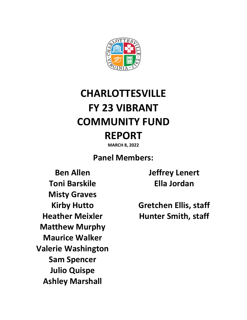

# **CHARLOTTESVILLE FY 23 VIBRANT COMMUNITY FUND REPORT**

**MARCH 8, 2022**

**Panel Members:**

**Ben Allen Toni Barskile Misty Graves Kirby Hutto Heather Meixler Matthew Murphy Maurice Walker Valerie Washington Sam Spencer Julio Quispe Ashley Marshall**

**Jeffrey Lenert Ella Jordan**

**Gretchen Ellis, staff Hunter Smith, staff**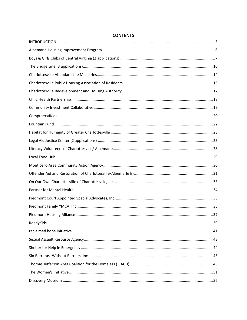# **CONTENTS**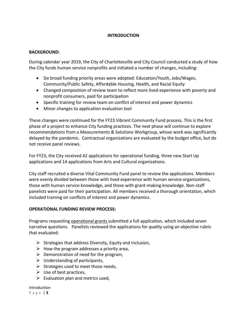#### **INTRODUCTION**

#### **BACKGROUND:**

During calendar year 2019, the City of Charlottesville and City Council conducted a study of how the City funds human service nonprofits and initiated a number of changes, including:

- Six broad funding priority areas were adopted: Education/Youth, Jobs/Wages, Community/Public Safety, Affordable Housing, Health, and Racial Equity
- Changed composition of review team to reflect more lived experience with poverty and nonprofit consumers, paid for participation
- Specific training for review team on conflict of interest and power dynamics
- Minor changes to application evaluation tool

These changes were continued for the FY23 Vibrant Community Fund process. This is the first phase of a project to enhance City funding practices. The next phase will continue to explore recommendations from a Measurements & Solutions Workgroup, whose work was significantly delayed by the pandemic. Contractual organizations are evaluated by the budget office, but do not receive panel reviews.

For FY23, the City received 42 applications for operational funding, three new Start Up applications and 14 applications from Arts and Cultural organizations.

City staff recruited a diverse Vital Community Fund panel to review the applications. Members were evenly divided between those with lived experience with human service organizations, those with human service knowledge, and those with grant‐making knowledge. Non‐staff panelists were paid for their participation. All members received a thorough orientation, which included training on conflicts of interest and power dynamics.

# **OPERATIONAL FUNDING REVIEW PROCESS:**

Programs requesting operational grants submitted a full application, which included seven narrative questions. Panelists reviewed the applications for *quality* using an objective rubric that evaluated:

- $\triangleright$  Strategies that address Diversity, Equity and Inclusion,
- $\triangleright$  How the program addresses a priority area,
- $\triangleright$  Demonstration of need for the program,
- $\triangleright$  Understanding of participants,
- $\triangleright$  Strategies used to meet those needs,
- $\triangleright$  Use of best practices,
- $\triangleright$  Evaluation plan and metrics used,

Introduction Page | **3**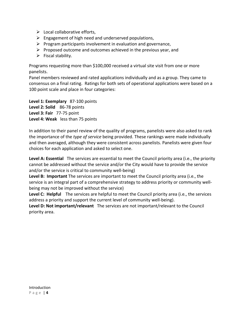- $\triangleright$  Local collaborative efforts.
- $\triangleright$  Engagement of high need and underserved populations,
- $\triangleright$  Program participants involvement in evaluation and governance,
- $\triangleright$  Proposed outcome and outcomes achieved in the previous year, and
- $\triangleright$  Fiscal stability.

Programs requesting more than \$100,000 received a virtual site visit from one or more panelists.

Panel members reviewed and rated applications individually and as a group. They came to consensus on a final rating. Ratings for both sets of operational applications were based on a 100 point scale and place in four categories:

**Level 1: Exemplary** 87‐100 points **Level 2: Solid** 86‐78 points **Level 3: Fair** 77‐75 point **Level 4: Weak** less than 75 points

In addition to their panel review of the quality of programs, panelists were also asked to rank the importance of the *type of service* being provided. These rankings were made individually and then averaged, although they were consistent across panelists. Panelists were given four choices for each application and asked to select one.

**Level A: Essential** The services are essential to meet the Council priority area (i.e., the priority cannot be addressed without the service and/or the City would have to provide the service and/or the service is critical to community well‐being)

**Level B: Important** The services are important to meet the Council priority area (i.e., the service is an integral part of a comprehensive strategy to address priority or community wellbeing may not be improved without the service)

**Level C: Helpful** The services are helpful to meet the Council priority area (i.e., the services address a priority and support the current level of community well‐being).

**Level D: Not important/relevant** The services are not important/relevant to the Council priority area.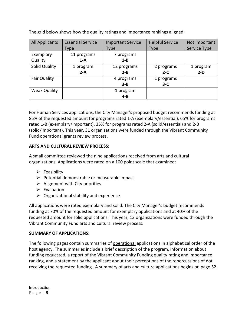All Applicants | Essential Service Type Important Service Type Helpful Service Type Not Important Service Type Exemplary **Quality** 11 programs **1‐A** 7 programs **1‐B** Solid Quality | 1 program **2‐A** 12 programs **2‐B** 2 programs **2‐C** 1 program **2‐D** Fair Quality |  $\vert$  4 programs **3‐B** 1 programs **3‐C** Weak Quality | 1 program **4‐B** 

The grid below shows how the quality ratings and importance rankings aligned:

For Human Services applications, the City Manager's proposed budget recommends funding at 85% of the requested amount for programs rated 1‐A (exemplary/essential), 65% for programs rated 1‐B (exemplary/important), 35% for programs rated 2‐A (solid/essential) and 2‐B (solid/important). This year, 31 organizations were funded through the Vibrant Community Fund operational grants review process.

#### **ARTS AND CULTURAL REVIEW PROCESS:**

A small committee reviewed the nine applications received from arts and cultural organizations. Applications were rated on a 100 point scale that examined:

- $\triangleright$  Feasibility
- $\triangleright$  Potential demonstrable or measurable impact
- $\triangleright$  Alignment with City priorities
- $\triangleright$  Evaluation
- $\triangleright$  Organizational stability and experience

All applications were rated exemplary and solid. The City Manager's budget recommends funding at 70% of the requested amount for exemplary applications and at 40% of the requested amount for solid applications. This year, 13 organizations were funded through the Vibrant Community Fund arts and cultural review process.

#### **SUMMARY OF APPLICATIONS:**

The following pages contain summaries of operational applications in alphabetical order of the host agency. The summaries include a brief description of the program, information about funding requested, a report of the Vibrant Community Funding quality rating and importance ranking, and a statement by the applicant about their perceptions of the repercussions of not receiving the requested funding. A summary of arts and culture applications begins on page 52.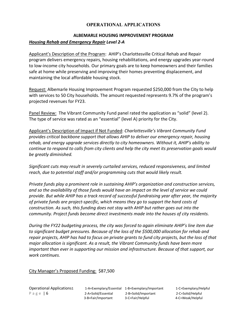# **OPERATIONAL APPLICATIONS**

#### **ALBEMARLE HOUSING IMPROVEMENT PROGRAM**

## *Housing Rehab and Emergency Repair Level 2‐A*

Applicant's Description of the Program: AHIP's Charlottesville Critical Rehab and Repair program delivers emergency repairs, housing rehabilitations, and energy upgrades year‐round to low-income city households. Our primary goals are to keep homeowners and their families safe at home while preserving and improving their homes preventing displacement, and maintaining the local affordable housing stock.

Request: Albemarle Housing Improvement Program requested \$250,000 from the City to help with services to 50 City households. The amount requested represents 9.7% of the program's projected revenues for FY23.

Panel Review: The Vibrant Community Fund panel rated the application as "solid" (level 2). The type of service was rated as an "essential" (level A) priority for the City.

Applicant's Description of Impact if Not Funded: *Charlottesville's Vibrant Community Fund provides critical backbone support that allows AHIP to deliver our emergency repair, housing rehab, and energy upgrade services directly to city homeowners. Without it, AHIP's ability to continue to respond to calls from city clients and help the city meet its preservation goals would be greatly diminished.*

*Significant cuts may result in severely curtailed services, reduced responsiveness, and limited reach, due to potential staff and/or programming cuts that would likely result.*

*Private funds play a prominent role in sustaining AHIP's organization and construction services, and so the availability of those funds would have an impact on the level of service we could provide. But while AHIP has a track record of successful fundraising year after year, the majority of private funds are project‐specific, which means they go to support the hard costs of construction. As such, this funding does not stay with AHIP but rather goes out into the community. Project funds become direct investments made into the houses of city residents.*

*During the FY22 budgeting process, the city was forced to again eliminate AHIP's line item due to significant budget pressures. Because of the loss of the \$500,000 allocation for rehab and* repair projects, AHIP has had to focus on private grants to fund city projects, but the loss of that *major allocation is significant. As a result, the Vibrant Community funds have been more important than ever in supporting our mission and infrastructure. Because of that support, our work continues.*

# City Manager's Proposed Funding: \$87,500

Operational Applications1 1‐A=Exemplary/Essential 1‐B=Exemplary/Important 1‐C=Exemplary/Helpful Page | 6 2‐A=Solid/Essential 2‐B=Solid/Important 2‐C=Solid/Helpful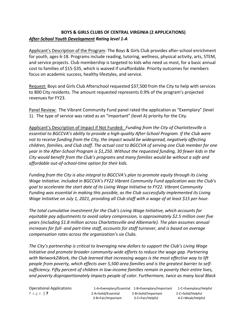# **BOYS & GIRLS CLUBS OF CENTRAL VIRGINIA (2 APPLICATIONS)** *After‐School Youth Development Rating level 1‐A*

Applicant's Description of the Program: The Boys & Girls Club provides after‐school enrichment for youth, ages 6‐18. Programs include reading, tutoring, wellness, physical activity, arts, STEM, and service projects. Club membership is targeted to kids who need us most, for a basic annual cost to families of \$15‐\$35, which is waived if unaffordable. Priority outcomes for members focus on academic success, healthy lifestyles, and service.

Request: Boys and Girls Club Afterschool requested \$37,500 from the City to help with services to 800 City residents. The amount requested represents 0.9% of the program's projected revenues for FY23.

Panel Review: The Vibrant Community Fund panel rated the application as "Exemplary" (level 1). The type of service was rated as an "important" (level A) priority for the City.

Applicant's Description of Impact if Not Funded: *Funding from the City of Charlottesville is essential to BGCCVA's ability to provide a high‐quality After‐School Program. If the Club were not to receive funding from the City, the impact would be widespread, negatively affecting children, families, and Club staff. The actual cost to BGCCVA of serving one Club member for one year in the After‐School Program is \$1,250. Without the requested funding, 30 fewer kids in the City would benefit from the Club's programs and many families would be without a safe and affordable out‐of‐school‐time option for their kids.*

*Funding from the City is also integral to BGCCVA's plan to promote equity through its Living Wage Initiative. Included in BGCCVA's FY22 Vibrant Community Fund application was the Club's goal to accelerate the start date of its Living Wage Initiative to FY22. Vibrant Community Funding was essential in making this possible, as the Club successfully implemented its Living* Wage Initiative on July 1, 2021, providing all Club staff with a wage of at least \$15 per hour.

*The total cumulative investment for the Club's Living Wage Initiative, which accounts for equitable pay adjustments to avoid salary compression, is approximately \$2.5 million over five years (including \$1.8 million across Charlottesville and Albemarle). The plan assumes annual increases for full‐ and part‐time staff, accounts for staff turnover, and is based on average compensation rates across the organization's six Clubs.*

*The City's partnership is critical to leveraging new dollars to support the Club's Living Wage Initiative and promote broader community‐wide efforts to reduce the wage gap. Partnering with Network2Work, the Club learned that increasing wages is the most effective way to lift people from poverty, which effects over 5,500 area families and is the greatest barrier to self‐ sufficiency. Fifty percent of children in low‐income families remain in poverty their entire lives, and poverty disproportionately impacts people of color. Furthermore, twice as many local Black*

Operational Applications 1‐A=Exemplary/Essential 1‐B=Exemplary/Important 1‐C=Exemplary/Helpful Page | **7** 2‐A=Solid/Essential 2‐B=Solid/Important 2‐C=Solid/Helpful 3‐B=Fair/Important 3‐C=Fair/Helpful 4‐C=Weak/Helpful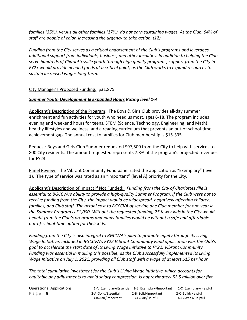*families (35%), versus all other families (17%), do not earn sustaining wages. At the Club, 54% of staff are people of color, increasing the urgency to take action. (12)*

*Funding from the City serves as a critical endorsement of the Club's programs and leverages additional support from individuals, business, and other localities. In addition to helping the Club serve hundreds of Charlottesville youth through high quality programs, support from the City in FY23 would provide needed funds at a critical point, as the Club works to expand resources to sustain increased wages long‐term.*

City Manager's Proposed Funding: \$31,875

#### *Summer Youth Development & Expanded Hours Rating level 1‐A*

Applicant's Description of the Program: The Boys & Girls Club provides all‐day summer enrichment and fun activities for youth who need us most, ages 6‐18. The program includes evening and weekend hours for teens, STEM (Science, Technology, Engineering, and Math), healthy lifestyles and wellness, and a reading curriculum that prevents an out‐of‐school‐time achievement gap. The annual cost to families for Club membership is \$15‐\$35.

Request: Boys and Girls Club Summer requested \$97,500 from the City to help with services to 800 City residents. The amount requested represents 7.8% of the program's projected revenues for FY23.

Panel Review: The Vibrant Community Fund panel rated the application as "Exemplary" (level 1). The type of service was rated as an "important" (level A) priority for the City.

Applicant's Description of Impact if Not Funded: *Funding from the City of Charlottesville is essential to BGCCVA's ability to provide a high‐quality Summer Program. If the Club were not to receive funding from the City, the impact would be widespread, negatively affecting children, families, and Club staff. The actual cost to BGCCVA of serving one Club member for one year in the Summer Program is \$1,000. Without the requested funding, 75 fewer kids in the City would benefit from the Club's programs and many families would be without a safe and affordable out‐of‐school‐time option for their kids.*

*Funding from the City is also integral to BGCCVA's plan to promote equity through its Living Wage Initiative. Included in BGCCVA's FY22 Vibrant Community Fund application was the Club's goal to accelerate the start date of its Living Wage Initiative to FY22. Vibrant Community Funding was essential in making this possible, as the Club successfully implemented its Living* Wage Initiative on July 1, 2021, providing all Club staff with a wage of at least \$15 per hour.

*The total cumulative investment for the Club's Living Wage Initiative, which accounts for equitable pay adjustments to avoid salary compression, is approximately \$2.5 million over five*

Operational Applications 1‐A=Exemplary/Essential 1‐B=Exemplary/Important 1‐C=Exemplary/Helpful Page | **8** 2‐A=Solid/Essential 2‐B=Solid/Important 2‐C=Solid/Helpful 3‐B=Fair/Important 3‐C=Fair/Helpful 4‐C=Weak/Helpful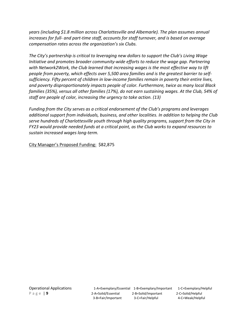*years (including \$1.8 million across Charlottesville and Albemarle). The plan assumes annual increases for full‐ and part‐time staff, accounts for staff turnover, and is based on average compensation rates across the organization's six Clubs.*

*The City's partnership is critical to leveraging new dollars to support the Club's Living Wage Initiative and promotes broader community‐wide efforts to reduce the wage gap. Partnering with Network2Work, the Club learned that increasing wages is the most effective way to lift people from poverty, which effects over 5,500 area families and is the greatest barrier to self‐ sufficiency. Fifty percent of children in low‐income families remain in poverty their entire lives, and poverty disproportionately impacts people of color. Furthermore, twice as many local Black families (35%), versus all other families (17%), do not earn sustaining wages. At the Club, 54% of staff are people of color, increasing the urgency to take action. (13)*

*Funding from the City serves as a critical endorsement of the Club's programs and leverages additional support from individuals, business, and other localities. In addition to helping the Club serve hundreds of Charlottesville youth through high quality programs, support from the City in FY23 would provide needed funds at a critical point, as the Club works to expand resources to sustain increased wages long‐term.*

City Manager's Proposed Funding: \$82,875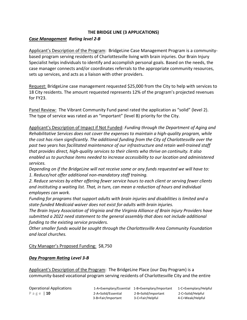# **THE BRIDGE LINE (3 APPLICATIONS)**

# *Case Management Rating level 2‐B*

Applicant's Description of the Program: BridgeLine Case Management Program is a community‐ based program serving residents of Charlottesville living with brain injuries. Our Brain Injury Specialist helps individuals to identify and accomplish personal goals. Based on the needs, the case manager connects and/or coordinates referrals to the appropriate community resources, sets up services, and acts as a liaison with other providers.

Request: BridgeLine case management requested \$25,000 from the City to help with services to 18 City residents. The amount requested represents 12% of the program's projected revenues for FY23.

Panel Review: The Vibrant Community Fund panel rated the application as "solid" (level 2). The type of service was rated as an "important" (level B) priority for the City.

Applicant's Description of Impact if Not Funded: *Funding through the Department of Aging and Rehabilitative Services does not cover the expenses to maintain a high‐quality program, while the cost has risen significantly. The additional funding from the City of Charlottesville over the past two years has facilitated maintenance of our infrastructure and retain well‐trained staff that provides direct, high‐quality services to their clients who thrive on continuity. It also enabled us to purchase items needed to increase accessibility to our location and administered services.*

*Depending on if the BridgeLine will not receive some or any funds requested we will have to: 1. Reduce/not offer additional non‐mandatory staff training.*

*2. Reduce services by either offering fewer service hours to each client or serving fewer clients and instituting a waiting list. That, in turn, can mean a reduction of hours and individual employees can work.*

*Funding for programs that support adults with brain injuries and disabilities is limited and a state‐funded Medicaid waiver does not exist for adults with brain injuries.*

*The Brain Injury Association of Virginia and the Virginia Alliance of Brain Injury Providers have submitted a 2022 need statement to the general assembly that does not include additional funding to the existing service providers.*

*Other smaller funds would be sought through the Charlottesville Area Community Foundation and local churches.*

City Manager's Proposed Funding: \$8,750

# *Day Program Rating Level 3‐B*

Applicant's Description of the Program: The BridgeLine Place (our Day Program) is a community‐based vocational program serving residents of Charlottesville City and the entire

Operational Applications 1‐A=Exemplary/Essential 1‐B=Exemplary/Important 1‐C=Exemplary/Helpful Page | **10** 2‐A=Solid/Essential 2‐B=Solid/Important 2‐C=Solid/Helpful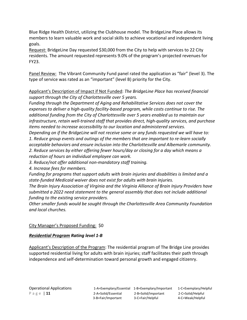Blue Ridge Health District, utilizing the Clubhouse model. The BridgeLine Place allows its members to learn valuable work and social skills to achieve vocational and independent living goals.

Request: BridgeLine Day requested \$30,000 from the City to help with services to 22 City residents. The amount requested represents 9.0% of the program's projected revenues for FY23.

Panel Review: The Vibrant Community Fund panel rated the application as "fair" (level 3). The type of service was rated as an "important" (level B) priority for the City.

Applicant's Description of Impact if Not Funded: *The BridgeLine Place has received financial support through the City of Charlottesville over 5 years.*

*Funding through the Department of Aging and Rehabilitative Services does not cover the expenses to deliver a high‐quality facility‐based program, while costs continue to rise. The additional funding from the City of Charlottesville over 5 years enabled us to maintain our infrastructure, retain well‐trained staff that provides direct, high‐quality services, and purchase items needed to increase accessibility to our location and administered services.*

*Depending on if the BridgeLine will not receive some or any funds requested we will have to: 1. Reduce group events and outings of the members that are important to re‐learn socially acceptable behaviors and ensure inclusion into the Charlottesville and Albemarle community. 2. Reduce services by either offering fewer hours/day or closing for a day which means a reduction of hours an individual employee can work.*

*3. Reduce/not offer additional non‐mandatory staff training.*

*4. Increase fees for members.*

*Funding for programs that support adults with brain injuries and disabilities is limited and a state‐funded Medicaid waiver does not exist for adults with brain injuries.*

*The Brain Injury Association of Virginia and the Virginia Alliance of Brain Injury Providers have submitted a 2022 need statement to the general assembly that does not include additional funding to the existing service providers.*

*Other smaller funds would be sought through the Charlottesville Area Community Foundation and local churches.*

# City Manager's Proposed Funding: \$0

# *Residential Program Rating level 1‐B*

Applicant's Description of the Program: The residential program of The Bridge Line provides supported residential living for adults with brain injuries; staff facilitates their path through independence and self‐determination toward personal growth and engaged citizenry.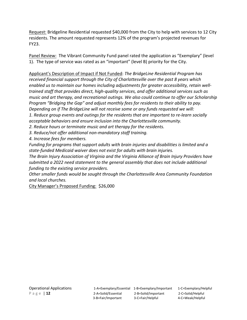Request: Bridgeline Residential requested \$40,000 from the City to help with services to 12 City residents. The amount requested represents 12% of the program's projected revenues for FY23.

Panel Review: The Vibrant Community Fund panel rated the application as "Exemplary" (level 1). The type of service was rated as an "important" (level B) priority for the City.

Applicant's Description of Impact if Not Funded: *The BridgeLine Residential Program has received financial support through the City of Charlottesville over the past 8 years which enabled us to maintain our homes including adjustments for greater accessibility, retain well‐ trained staff that provides direct, high‐quality services, and offer additional services such as music and art therapy, and recreational outings. We also could continue to offer our Scholarship Program "Bridging the Gap" and adjust monthly fees for residents to their ability to pay. Depending on if The BridgeLine will not receive some or any funds requested we will:*

*1. Reduce group events and outings for the residents that are important to re‐learn socially acceptable behaviors and ensure inclusion into the Charlottesville community.*

*2. Reduce hours or terminate music and art therapy for the residents.*

*3. Reduce/not offer additional non‐mandatory staff training.*

*4. Increase fees for members.*

*Funding for programs that support adults with brain injuries and disabilities is limited and a state‐funded Medicaid waiver does not exist for adults with brain injuries.*

*The Brain Injury Association of Virginia and the Virginia Alliance of Brain Injury Providers have submitted a 2022 need statement to the general assembly that does not include additional funding to the existing service providers.*

*Other smaller funds would be sought through the Charlottesville Area Community Foundation and local churches.*

City Manager's Proposed Funding: \$26,000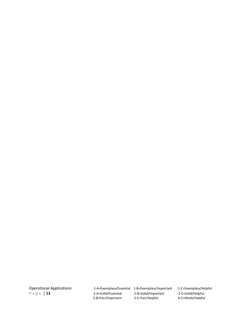Operational Applications 1‐A=Exemplary/Essential 1‐B=Exemplary/Important 1‐C=Exemplary/Helpful

3-B=Fair/Important

Page | **13** 2‐A=Solid/Essential 2‐B=Solid/Important 2‐C=Solid/Helpful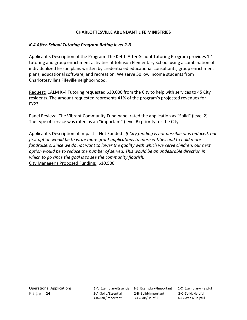#### **CHARLOTTESVILLE ABUNDANT LIFE MINISTRIES**

## *K‐4 After‐School Tutoring Program Rating level 2‐B*

Applicant's Description of the Program: The K-4th After-School Tutoring Program provides 1:1 tutoring and group enrichment activities at Johnson Elementary School using a combination of individualized lesson plans written by credentialed educational consultants, group enrichment plans, educational software, and recreation. We serve 50 low income students from Charlottesville's Fifeville neighborhood.

Request: CALM K‐4 Tutoring requested \$30,000 from the City to help with services to 45 City residents. The amount requested represents 41% of the program's projected revenues for FY23.

Panel Review: The Vibrant Community Fund panel rated the application as "Solid" (level 2). The type of service was rated as an "important" (level B) priority for the City.

Applicant's Description of Impact if Not Funded: *If City funding is not possible or is reduced, our first option would be to write more grant applications to more entities and to hold more fundraisers. Since we do not want to lower the quality with which we serve children, our next option would be to reduce the number of served. This would be an undesirable direction in which to go since the goal is to see the community flourish.* City Manager's Proposed Funding: \$10,500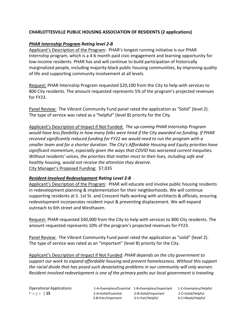# **CHARLOTTESVILLE PUBLIC HOUSING ASSOCIATION OF RESIDENTS (2 applications)**

# *PHAR Internship Program Rating level 2‐B*

Applicant's Description of the Program: PHAR's longest running initiative is our PHAR Internship program, which is a 4‐6 month paid civic engagement and learning opportunity for low‐income residents. PHAR has and will continue to build participation of historically marginalized people, including majority‐black public housing communities, by improving quality of life and supporting community involvement at all levels.

Request: PHAR Internship Program requested \$20,100 from the City to help with services to 800 City residents. The amount requested represents 5% of the program's projected revenues for FY23.

Panel Review: The Vibrant Community Fund panel rated the application as "Solid" (level 2). The type of service was rated as a "helpful" (level B) priority for the City.

Applicant's Description of Impact if Not Funded: *The up‐coming PHAR Internship Program would have less flexibility in how many folks were hired if the City awarded no funding. If PHAR received significantly reduced funding for FY22 we would need to run the program with a smaller team and for a shorter duration. The City's Affordable Housing and Equity priorities have significant momentum, especially given the ways that COVID has worsened current inequities. Without residents' voices, the priorities that matter most to their lives, including safe and healthy housing, would not receive the attention they deserve.* City Manager's Proposed Funding: \$7,035

# *Resident‐Involved Redevelopment Rating Level 2‐B*

Applicant's Description of the Program: PHAR will educate and involve public housing residents in redevelopment planning & implementation for their neighborhoods. We will continue supporting residents at S. 1st St. and Crescent Halls working with architects & officials, ensuring redevelopment incorporates resident input & preventing displacement. We will expand outreach to 6th street and Westhaven.

Request: PHAR requested \$40,000 from the City to help with services to 800 City residents. The amount requested represents 10% of the program's projected revenues for FY23.

Panel Review: The Vibrant Community Fund panel rated the application as "solid" (level 2). The type of service was rated as an "important" (level B) priority for the City.

Applicant's Description of Impact if Not Funded: *PHAR depends on the city government to support our work to expand affordable housing and prevent homelessness. Without this support the racial divide that has posed such devastating problems in our community will only worsen. Resident‐involved redevelopment is one of the primary paths our local government is traveling*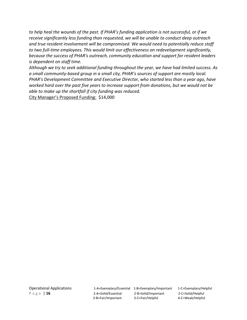*to help heal the wounds of the past. If PHAR's funding application is not successful, or if we receive significantly less funding than requested, we will be unable to conduct deep outreach and true resident involvement will be compromised. We would need to potentially reduce staff to two full‐time employees. This would limit our effectiveness on redevelopment significantly, because the success of PHAR's outreach, community education and support for resident leaders is dependent on staff time.*

*Although we try to seek additional funding throughout the year, we have had limited success. As a small community‐based group in a small city, PHAR's sources of support are mostly local. PHAR's Development Committee and Executive Director, who started less than a year ago, have worked hard over the past five years to increase support from donations, but we would not be able to make up the shortfall if city funding was reduced.*

City Manager's Proposed Funding: \$14,000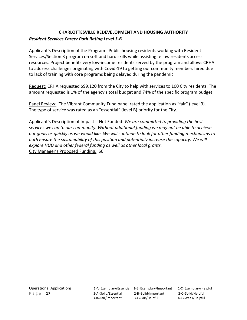# **CHARLOTTESVILLE REDEVELOPMENT AND HOUSING AUTHORITY** *Resident Services Career Path Rating Level 3‐B*

Applicant's Description of the Program: Public housing residents working with Resident Services/Section 3 program on soft and hard skills while assisting fellow residents access resources. Project benefits very low-income residents served by the program and allows CRHA to address challenges originating with Covid‐19 to getting our community members hired due to lack of training with core programs being delayed during the pandemic.

Request: CRHA requested \$99,120 from the City to help with services to 100 City residents. The amount requested is 1% of the agency's total budget and 74% of the specific program budget.

Panel Review: The Vibrant Community Fund panel rated the application as "fair" (level 3). The type of service was rated as an "essential" (level B) priority for the City.

Applicant's Description of Impact if Not Funded: *We are committed to providing the best services we can to our community. Without additional funding we may not be able to achieve our goals as quickly as we would like. We will continue to look for other funding mechanisms to both ensure the sustainability of this position and potentially increase the capacity. We will explore HUD and other federal funding as well as other local grants.* City Manager's Proposed Funding: \$0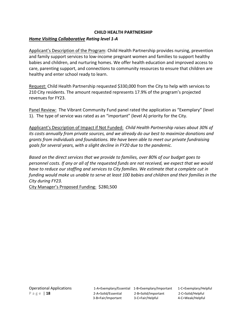#### **CHILD HEALTH PARTNERSHIP**

## *Home Visiting Collaborative Rating level 1‐A*

Applicant's Description of the Program: Child Health Partnership provides nursing, prevention and family support services to low‐income pregnant women and families to support healthy babies and children, and nurturing homes. We offer health education and improved access to care, parenting support, and connections to community resources to ensure that children are healthy and enter school ready to learn.

Request: Child Health Partnership requested \$330,000 from the City to help with services to 210 City residents. The amount requested represents 17.9% of the program's projected revenues for FY23.

Panel Review: The Vibrant Community Fund panel rated the application as "Exemplary" (level 1). The type of service was rated as an "important" (level A) priority for the City.

Applicant's Description of Impact if Not Funded: *Child Health Partnership raises about 30% of its costs annually from private sources, and we already do our best to maximize donations and grants from individuals and foundations. We have been able to meet our private fundraising goals for several years, with a slight decline in FY20 due to the pandemic.*

*Based on the direct services that we provide to families, over 80% of our budget goes to personnel costs. If any or all of the requested funds are not received, we expect that we would have to reduce our staffing and services to City families. We estimate that a complete cut in funding would make us unable to serve at least 100 babies and children and their families in the City during FY23.*

City Manager's Proposed Funding: \$280,500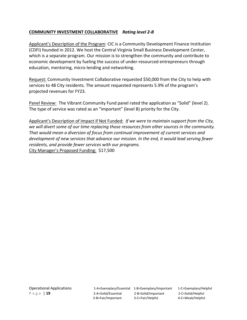# **COMMUNITY INVESTMENT COLLABORATIVE** *Rating level 2‐B*

Applicant's Description of the Program: CIC is a Community Development Finance Institution (CDFI) founded in 2012. We host the Central Virginia Small Business Development Center, which is a separate program. Our mission is to strengthen the community and contribute to economic development by fueling the success of under‐resourced entrepreneurs through education, mentoring, micro‐lending and networking.

Request: Community Investment Collaborative requested \$50,000 from the City to help with services to 48 City residents. The amount requested represents 5.9% of the program's projected revenues for FY23.

Panel Review: The Vibrant Community Fund panel rated the application as "Solid" (level 2). The type of service was rated as an "important" (level B) priority for the City.

Applicant's Description of Impact if Not Funded: *If we were to maintain support from the City, we will divert some of our time replacing those resources from other sources in the community. That would mean a diversion of focus from continual improvement of current services and development of new services that advance our mission. In the end, it would lead serving fewer residents, and provide fewer services with our programs.* City Manager's Proposed Funding: \$17,500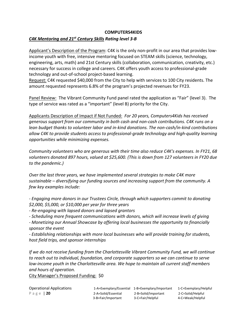# **COMPUTERS4KIDS**

# *C4K Mentoring and 21st Century Skills Rating level 3‐B*

Applicant's Description of the Program: C4K is the only non‐profit in our area that provides low‐ income youth with free, intensive mentoring focused on STEAM skills (science, technology, engineering, arts, math) and 21st Century skills (collaboration, communication, creativity, etc.) necessary for success in college and careers. C4K offers youth access to professional‐grade technology and out‐of‐school project‐based learning.

Request: C4K requested \$40,000 from the City to help with services to 100 City residents. The amount requested represents 6.8% of the program's projected revenues for FY23.

Panel Review: The Vibrant Community Fund panel rated the application as "Fair" (level 3). The type of service was rated as a "important" (level B) priority for the City.

Applicants Description of Impact if Not Funded: *For 20 years, Computers4Kids has received generous support from our community in both cash and non‐cash contributions. C4K runs on a lean budget thanks to volunteer labor and in‐kind donations. The non‐cash/in‐kind contributions allow C4K to provide students access to professional‐grade technology and high‐quality learning opportunities while minimizing expenses.*

*Community volunteers who are generous with their time also reduce C4K's expenses. In FY21, 68 volunteers donated 897 hours, valued at \$25,600. (This is down from 127 volunteers in FY20 due to the pandemic.)*

*Over the last three years, we have implemented several strategies to make C4K more sustainable – diversifying our funding sources and increasing support from the community. A few key examples include:*

*‐ Engaging more donors in our Trustees Circle, through which supporters commit to donating \$2,000, \$5,000, or \$10,000 per year for three years*

*‐ Re‐engaging with lapsed donors and lapsed grantors*

*‐ Scheduling more frequent communications with donors, which will increase levels of giving ‐ Monetizing our Annual Showcase by offering local businesses the opportunity to financially*

*sponsor the event*

*‐ Establishing relationships with more local businesses who will provide training for students, host field trips, and sponsor internships*

*If we do not receive funding from the Charlottesville Vibrant Community Fund, we will continue to reach out to individual, foundation, and corporate supporters so we can continue to serve low‐income youth in the Charlottesville area. We hope to maintain all current staff members and hours of operation.*

City Manager's Proposed Funding: \$0

| <b>Operational Applications</b> |  |  |  |           |  |
|---------------------------------|--|--|--|-----------|--|
|                                 |  |  |  | Page   20 |  |

1-A=Exemplary/Essential 1-B=Exemplary/Important 1-C=Exemplary/Helpful Page | **20** 2‐A=Solid/Essential 2‐B=Solid/Important 2‐C=Solid/Helpful 3‐B=Fair/Important 3‐C=Fair/Helpful 4‐C=Weak/Helpful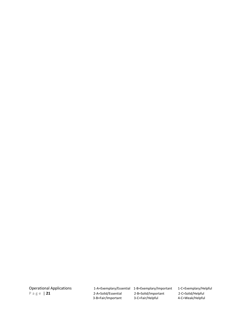Operational Applications 1‐A=Exemplary/Essential 1‐B=Exemplary/Important 1‐C=Exemplary/Helpful

3-B=Fair/Important

Page | **21** 2‐A=Solid/Essential 2‐B=Solid/Important 2‐C=Solid/Helpful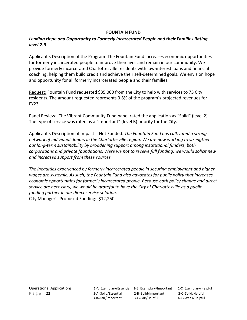## **FOUNTAIN FUND**

# *Lending Hope and Opportunity to Formerly Incarcerated People and their Families Rating level 2‐B*

Applicant's Description of the Program: The Fountain Fund increases economic opportunities for formerly incarcerated people to improve their lives and remain in our community. We provide formerly incarcerated Charlottesville residents with low‐interest loans and financial coaching, helping them build credit and achieve their self‐determined goals. We envision hope and opportunity for all formerly incarcerated people and their families.

Request: Fountain Fund requested \$35,000 from the City to help with services to 75 City residents. The amount requested represents 3.8% of the program's projected revenues for FY23.

Panel Review: The Vibrant Community Fund panel rated the application as "Solid" (level 2). The type of service was rated as a "important" (level B) priority for the City.

Applicant's Description of Impact if Not Funded*: The Fountain Fund has cultivated a strong network of individual donors in the Charlottesville region. We are now working to strengthen our long‐term sustainability by broadening support among institutional funders, both corporations and private foundations. Were we not to receive full funding, we would solicit new and increased support from these sources.*

*The inequities experienced by formerly incarcerated people in securing employment and higher wages are systemic. As such, the Fountain Fund also advocates for public policy that increases economic opportunities for formerly incarcerated people. Because both policy change and direct service are necessary, we would be grateful to have the City of Charlottesville as a public funding partner in our direct service solution.* City Manager's Proposed Funding: \$12,250

Operational Applications 1‐A=Exemplary/Essential 1‐B=Exemplary/Important 1‐C=Exemplary/Helpful Page | **22** 2‐A=Solid/Essential 2‐B=Solid/Important 2‐C=Solid/Helpful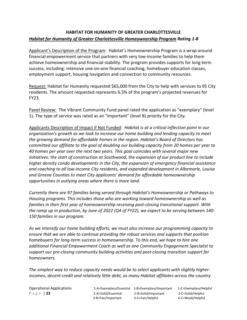# **HABITAT FOR HUMANITY OF GREATER CHARLOTTESVILLE** *Habitat for Humanity of Greater Charlottesville Homeownership Program Rating 1‐B*

Applicant's Description of the Program: Habitat's Homeownership Program is a wrap-around financial empowerment service that partners with very low-income families to help them achieve homeownership and financial stability. The program provides supports for long-term success, including: intensive one‐on‐one financial coaching, homebuyer education classes, employment support, housing navigation and connection to community resources.

Request: Habitat for Humanity requested \$65,000 from the City to help with services to 95 City residents. The amount requested represents 6.5% of the program's projected revenues for FY23.

Panel Review: The Vibrant Community Fund panel rated the application as "exemplary" (level 1). The type of service was rated as an "important" (level B) priority for the City.

Applicants Description of Impact if Not Funded: *Habitat is at a critical inflection point in our organization's growth as we look to increase our home building and lending capacity to meet the growing demand for affordable homes in the region. Habitat's Board of Directors has committed our affiliate to the goal of doubling our building capacity from 20 homes per year to 40 homes per year over the next two years. This goal coincides with several major new initiatives: the start of construction at Southwood, the expansion of our product line to include higher density condo developments in the City, the expansion of emergency financial assistance and coaching to all low‐income City residents, and expanded development in Albemarle, Louisa and Greene Counties to meet City applicants' demand for affordable homeownership opportunities in outlying areas where there is more land.*

*Currently there are 97 families being served through Habitat's Homeownership or Pathways to Housing programs. This includes those who are working toward homeownership as well as families in their first year of homeownership receiving post‐closing transitional support. With* the ramp up in production, by June of 2022 (Q4 of FY22), we expect to be serving between 140-*150 families in our program.*

*As we intensify our home building efforts, we must also increase our programming capacity to ensure that we are able to continue providing the robust services and supports that position homebuyers for long‐term success in homeownership. To this end, we hope to hire one additional Financial Empowerment Coach as well as one Community Engagement Specialist to support our pre‐closing community building activities and post‐closing transition support for homeowners.*

*The simplest way to reduce capacity needs would be to select applicants with slightly higher‐ incomes, decent credit and relatively little debt, as many Habitat affiliates across the country*

Operational Applications 1‐A=Exemplary/Essential 1‐B=Exemplary/Important 1‐C=Exemplary/Helpful Page | **23** 2‐A=Solid/Essential 2‐B=Solid/Important 2‐C=Solid/Helpful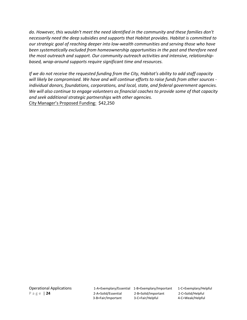*do. However, this wouldn't meet the need identified in the community and these families don't necessarily need the deep subsidies and supports that Habitat provides. Habitat is committed to our strategic goal of reaching deeper into low‐wealth communities and serving those who have been systematically excluded from homeownership opportunities in the past and therefore need the most outreach and support. Our community outreach activities and intensive, relationship‐ based, wrap‐around supports require significant time and resources.*

*If we do not receive the requested funding from the City, Habitat's ability to add staff capacity will likely be compromised. We have and will continue efforts to raise funds from other sources ‐ individual donors, foundations, corporations, and local, state, and federal government agencies. We will also continue to engage volunteers as financial coaches to provide some of that capacity and seek additional strategic partnerships with other agencies.* City Manager's Proposed Funding: \$42,250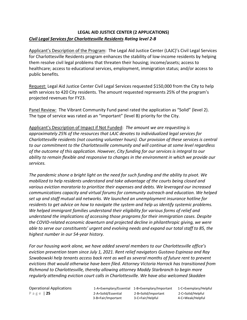# **LEGAL AID JUSTICE CENTER (2 APPLICATIONS)** *Civil Legal Services for Charlottesville Residents Rating level 2‐B*

Applicant's Description of the Program: The Legal Aid Justice Center (LAJC)'s Civil Legal Services for Charlottesville Residents program enhances the stability of low-income residents by helping them resolve civil legal problems that threaten their housing; income/assets; access to healthcare; access to educational services, employment, immigration status; and/or access to public benefits.

Request: Legal Aid Justice Center Civil Legal Services requested \$150,000 from the City to help with services to 420 City residents. The amount requested represents 25% of the program's projected revenues for FY23.

Panel Review: The Vibrant Community Fund panel rated the application as "Solid" (level 2). The type of service was rated as an "important" (level B) priority for the City.

Applicant's Description of Impact if Not Funded: *The amount we are requesting is approximately 25% of the resources that LAJC devotes to individualized legal services for Charlottesville residents (not counting volunteer hours). Our provision of these services is central to our commitment to the Charlottesville community and will continue at some level regardless of the outcome of this application. However, City funding for our services is integral to our ability to remain flexible and responsive to changes in the environment in which we provide our services.*

*The pandemic shone a bright light on the need for such funding and the ability to pivot. We mobilized to help residents understand and take advantage of the courts being closed and various eviction moratoria to prioritize their expenses and debts. We leveraged our increased communications capacity and virtual forums for community outreach and education. We helped set up and staff mutual aid networks. We launched an unemployment insurance hotline for residents to get advice on how to navigate the system and help us identify systemic problems. We helped immigrant families understand their eligibility for various forms of relief and understand the implications of accessing those programs for their immigration cases. Despite the COVID‐related economic downturn and projected decline in philanthropic giving, we were able to serve our constituents' urgent and evolving needs and expand our total staff to 85, the highest number in our 54‐year history.*

*For our housing work alone, we have added several members to our Charlottesville office's eviction prevention team since July 1, 2021. Rent relief navigators Gustavo Espinosa and Ray Szwabowski help tenants access back rent as well as several months of future rent to prevent evictions that would otherwise have been filed. Attorney Victoria Horrock has transitioned from Richmond to Charlottesville, thereby allowing attorney Maddy Starbranch to begin more regularly attending eviction court calls in Charlottesville. We have also welcomed Skadden*

Operational Applications 1‐A=Exemplary/Essential 1‐B=Exemplary/Important 1‐C=Exemplary/Helpful Page | **25** 2‐A=Solid/Essential 2‐B=Solid/Important 2‐C=Solid/Helpful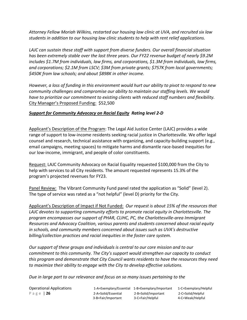*Attorney Fellow Moriah Wilkins, restarted our housing law clinic at UVA, and recruited six law students in addition to our housing law clinic students to help with rent relief applications.*

*LAJC can sustain these staff with support from diverse funders. Our overall financial situation has been extremely stable over the last three years. Our FY22 revenue budget of nearly \$9.2M includes \$1.7M from individuals, law firms, and corporations, \$1.3M from individuals, law firms, and corporations; \$2.1M from LSCV; \$3M from private grants; \$757K from local governments; \$450K from law schools; and about \$898K in other income.*

*However, a loss of funding in this environment would hurt our ability to pivot to respond to new community challenges and compromise our ability to maintain our staffing levels. We would have to prioritize our commitment to existing clients with reduced staff numbers and flexibility.* City Manager's Proposed Funding: \$52,500

# *Support for Community Advocacy on Racial Equity Rating level 2‐D*

Applicant's Description of the Program: The Legal Aid Justice Center (LAJC) provides a wide range of support to low-income residents seeking racial justice in Charlottesville. We offer legal counsel and research, technical assistance with organizing, and capacity‐building support (e.g., email campaigns, meeting spaces) to mitigate harms and dismantle race‐based inequities for our low‐income, immigrant, and people of color constituents.

Request: LAJC Community Advocacy on Racial Equality requested \$100,000 from the City to help with services to all City residents. The amount requested represents 15.3% of the program's projected revenues for FY23.

Panel Review: The Vibrant Community Fund panel rated the application as "Solid" (level 2). The type of service was rated as a "not helpful" (level D) priority for the City.

Applicant's Description of Impact if Not Funded: *Our request is about 15% of the resources that LAJC devotes to supporting community efforts to promote racial equity in Charlottesville. The program encompasses our support of PHAR, CLIHC, PC, the Charlottesville‐area Immigrant Resources and Advocacy Coalition, various parents and students concerned about racial equity in schools, and community members concerned about issues such as UVA's destructive billing/collection practices and racial inequities in the foster care system.*

*Our support of these groups and individuals is central to our core mission and to our commitment to this community. The City's support would strengthen our capacity to conduct this program and demonstrate that City Council wants residents to have the resources they need to maximize their ability to engage with the City to develop effective solutions.*

*Due in large part to our relevance and focus on so many issues pertaining to the*

| <b>Operational Applications</b> | 1-A=Exemplary/Essential | 1-B=Exemplary/Important | 1-C=Exemplary/Helpful |
|---------------------------------|-------------------------|-------------------------|-----------------------|
| Page   26                       | 2-A=Solid/Essential     | 2-B=Solid/Important     | 2-C=Solid/Helpful     |
|                                 | 3-B=Fair/Important      | 3-C=Fair/Helpful        | 4-C=Weak/Helpful      |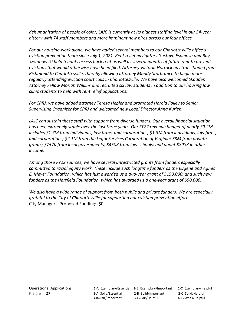*dehumanization of people of color, LAJC is currently at its highest staffing level in our 54‐year history with 74 staff members and more imminent new hires across our four offices.*

*For our housing work alone, we have added several members to our Charlottesville office's eviction prevention team since July 1, 2021. Rent relief navigators Gustavo Espinosa and Ray Szwabowski help tenants access back rent as well as several months of future rent to prevent evictions that would otherwise have been filed. Attorney Victoria Horrock has transitioned from Richmond to Charlottesville, thereby allowing attorney Maddy Starbranch to begin more regularly attending eviction court calls in Charlottesville. We have also welcomed Skadden Attorney Fellow Moriah Wilkins and recruited six law students in addition to our housing law clinic students to help with rent relief applications.*

*For CRRJ, we have added attorney Teresa Hepler and promoted Harold Folley to Senior Supervising Organizer for CRRJ and welcomed new Legal Director Anna Kurien.*

*LAJC can sustain these staff with support from diverse funders. Our overall financial situation has been extremely stable over the last three years. Our FY22 revenue budget of nearly \$9.2M includes \$1.7M from individuals, law firms, and corporations, \$1.3M from individuals, law firms, and corporations; \$2.1M from the Legal Services Corporation of Virginia; \$3M from private grants; \$757K from local governments; \$450K from law schools; and about \$898K in other income.*

*Among those FY22 sources, we have several unrestricted grants from funders especially committed to racial equity work. These include such longtime funders as the Eugene and Agnes E. Meyer Foundation, which has just awarded us a two‐year grant of \$150,000, and such new funders as the Hartfield Foundation, which has awarded us a one‐year grant of \$50,000.*

*We also have a wide range of support from both public and private funders. We are especially grateful to the City of Charlottesville for supporting our eviction prevention efforts.* City Manager's Proposed Funding: \$0

Operational Applications 1‐A=Exemplary/Essential 1‐B=Exemplary/Important 1‐C=Exemplary/Helpful Page | **27** 2‐A=Solid/Essential 2‐B=Solid/Important 2‐C=Solid/Helpful 3‐B=Fair/Important 3‐C=Fair/Helpful 4‐C=Weak/Helpful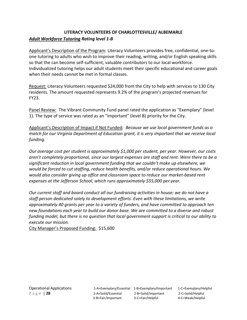# **LITERACY VOLUNTEERS OF CHARLOTTESVILLE/ ALBEMARLE** *Adult Workforce Tutoring Rating level 1‐B*

Applicant's Description of the Program: Literacy Volunteers provides free, confidential, one-toone tutoring to adults who wish to improve their reading, writing, and/or English speaking skills so that the can become self‐sufficient, valuable contributors to our local workforce. Individualized tutoring helps our adult students meet their specific educational and career goals when their needs cannot be met in formal classes.

Request: Literacy Volunteers requested \$24,000 from the City to help with services to 130 City residents. The amount requested represents 9.2% of the program's projected revenues for FY23.

Panel Review: The Vibrant Community Fund panel rated the application as "Exemplary" (level 1). The type of service was rated as an "important" (level B) priority for the City.

Applicant's Description of Impact if Not Funded*: Because we use local government funds as a match for our Virginia Department of Education grant, it is very important that we receive local funding.*

*Our average cost per student is approximately \$1,000 per student, per year. However, our costs aren't completely proportional, since our largest expenses are staff and rent. Were there to be a significant reduction in local government funding that we couldn't make up elsewhere, we would be forced to cut staffing, reduce health benefits, and/or reduce operational hours. We would also consider giving up office and classroom space to reduce our market‐based rent expenses at the Jefferson School, which runs approximately \$55,000 per year.*

*Our current staff and board conduct all our fundraising activities in house; we do not have a staff person dedicated solely to development efforts. Even with these limitations, we write approximately 40 grants per year to a variety of funders, and have committed to approach ten new foundations each year to build our donor base. We are committed to a diverse and robust funding model, but there is no question that local government support is critical to our ability to execute our mission.*

City Manager's Proposed Funding: \$15,600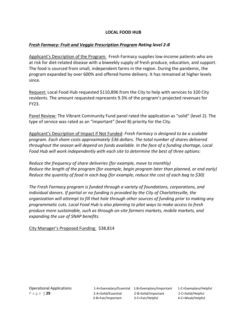# **LOCAL FOOD HUB**

# *Fresh Farmacy: Fruit and Veggie Prescription Program Rating level 2‐B*

Applicant's Description of the Program: Fresh Farmacy supplies low-income patients who are at risk for diet‐related disease with a biweekly supply of fresh produce, education, and support. The food is sourced from small, independent farms in the region. During the pandemic, the program expanded by over 600% and offered home delivery. It has remained at higher levels since.

Request: Local Food Hub requested \$110,896 from the City to help with services to 320 City residents. The amount requested represents 9.3% of the program's projected revenues for FY23.

Panel Review: The Vibrant Community Fund panel rated the application as "solid" (level 2). The type of service was rated as an "important" (level B) priority for the City.

Applicant's Description of Impact if Not Funded: *Fresh Farmacy is designed to be a scalable program. Each share costs approximately \$36 dollars. The total number of shares delivered throughout the season will depend on funds available. In the face of a funding shortage, Local Food Hub will work independently with each site to determine the best of three options:*

*Reduce the frequency of share deliveries (for example, move to monthly) Reduce the length of the program (for example, begin program later than planned, or end early) Reduce the quantity of food in each bag (for example, reduce the cost of each bag to \$30)*

*The Fresh Farmacy program is funded through a variety of foundations, corporations, and individual donors. If partial or no funding is provided by the City of Charlottesville, the organization will attempt to fill that hole through other sources of funding prior to making any programmatic cuts. Local Food Hub is also planning to pilot ways to make access to fresh produce more sustainable, such as through on‐site farmers markets, mobile markets, and expanding the use of SNAP benefits.*

City Manager's Proposed Funding: \$38,814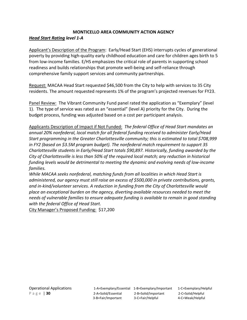# **MONTICELLO AREA COMMUNITY ACTION AGENCY** *Head Start Rating level 1‐A*

Applicant's Description of the Program: Early/Head Start (EHS) interrupts cycles of generational poverty by providing high‐quality early childhood education and care for children ages birth to 5 from low-income families. E/HS emphasizes the critical role of parents in supporting school readiness and builds relationships that promote well‐being and self‐reliance through comprehensive family support services and community partnerships.

Request: MACAA Head Start requested \$46,500 from the City to help with services to 35 City residents. The amount requested represents 1% of the program's projected revenues for FY23.

Panel Review: The Vibrant Community Fund panel rated the application as "Exemplary" (level 1). The type of service was rated as an "essential" (level A) priority for the City. During the budget process, funding was adjusted based on a cost per participant analysis.

Applicants Description of Impact if Not Funded: *The federal Office of Head Start mandates an annual 20% nonfederal, local match for all federal funding received to administer Early/Head Start programming in the Greater Charlottesville community; this is estimated to total \$708,999 in FY2 (based on \$3.5M program budget). The nonfederal match requirement to support 35 Charlottesville students in Early/Head Start totals \$90,897. Historically, funding awarded by the City of Charlottesville is less than 50% of the required local match; any reduction in historical funding levels would be detrimental to meeting the dynamic and evolving needs of low‐income families.*

*While MACAA seeks nonfederal, matching funds from all localities in which Head Start is administered, our agency must still raise an excess of \$500,000 in private contributions, grants, and in‐kind/volunteer services. A reduction in funding from the City of Charlottesville would place an exceptional burden on the agency, diverting available resources needed to meet the needs of vulnerable families to ensure adequate funding is available to remain in good standing with the federal Office of Head Start.*

City Manager's Proposed Funding: \$17,200

Operational Applications 1‐A=Exemplary/Essential 1‐B=Exemplary/Important 1‐C=Exemplary/Helpful Page | **30** 2‐A=Solid/Essential 2‐B=Solid/Important 2‐C=Solid/Helpful 3‐B=Fair/Important 3‐C=Fair/Helpful 4‐C=Weak/Helpful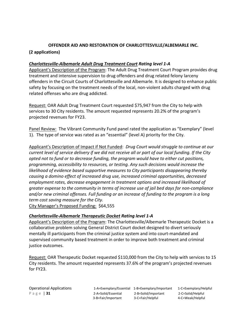# **OFFENDER AID AND RESTORATION OF CHARLOTTESVILLE/ALBEMARLE INC. (2 applications)**

# *Charlottesville‐Albemarle Adult Drug Treatment Court Rating level 1‐A*

Applicant's Description of the Program: The Adult Drug Treatment Court Program provides drug treatment and intensive supervision to drug offenders and drug related felony larceny offenders in the Circuit Courts of Charlottesville and Albemarle. It is designed to enhance public safety by focusing on the treatment needs of the local, non-violent adults charged with drug related offenses who are drug addicted.

Request: OAR Adult Drug Treatment Court requested \$75,947 from the City to help with services to 30 City residents. The amount requested represents 20.2% of the program's projected revenues for FY23.

Panel Review: The Vibrant Community Fund panel rated the application as "Exemplary" (level 1). The type of service was rated as an "essential" (level A) priority for the City.

Applicant's Description of Impact if Not Funded: *Drug Court would struggle to continue at our* current level of service delivery if we did not receive all or part of our local funding. If the City *opted not to fund or to decrease funding, the program would have to either cut positions, programming, accessibility to resources, or testing. Any such decisions would increase the likelihood of evidence based supportive measures to City participants disappearing thereby causing a domino effect of increased drug use, increased criminal opportunities, decreased employment rates, decrease engagement in treatment options and increased likelihood of greater expense to the community in terms of increase use of jail bed days for non‐compliance and/or new criminal offenses. Full funding or an increase of funding to the program is a long term cost saving measure for the City.*

City Manager's Proposed Funding: \$64,555

# *Charlottesville‐Albemarle Therapeutic Docket Rating level 1‐A*

Applicant's Description of the Program: The Charlottesville/Albemarle Therapeutic Docket is a collaborative problem solving General District Court docket designed to divert seriously mentally ill participants from the criminal justice system and into court-mandated and supervised community based treatment in order to improve both treatment and criminal justice outcomes.

Request: OAR Therapeutic Docket requested \$110,000 from the City to help with services to 15 City residents. The amount requested represents 37.6% of the program's projected revenues for FY23.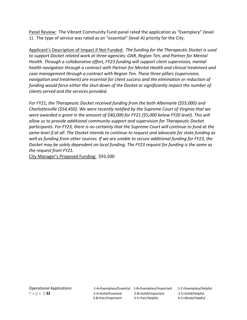Panel Review: The Vibrant Community Fund panel rated the application as "Exemplary" (level 1). The type of service was rated as an "essential" (level A) priority for the City.

Applicant's Description of Impact if Not Funded: *The funding for the Therapeutic Docket is used to support Docket related work at three agencies: OAR, Region Ten, and Partner for Mental Health. Through a collaborative effort, FY23 funding will support client supervision, mental health navigation through a contract with Partner for Mental Health and clinical treatment and case management through a contract with Region Ten. These three pillars (supervision, navigation and treatment) are essential for client success and the elimination or reduction of funding would force either the shut‐down of the Docket or significantly impact the number of clients served and the services provided.*

*For FY21, the Therapeutic Docket received funding from the both Albemarle (\$55,000) and Charlottesville (\$54,450). We were recently notified by the Supreme Court of Virginia that we were awarded a grant in the amount of \$40,000 for FY21 (\$5,000 below FY20 level). This will allow us to provide additional community support and supervision for Therapeutic Docket participants. For FY23, there is no certainty that the Supreme Court will continue to fund at the same level if at all. The Docket intends to continue to request and advocate for state funding as well as funding from other sources. If we are unable to secure additional funding for FY23, the Docket may be solely dependent on local funding. The FY23 request for funding is the same as the request from FY21.*

City Manager's Proposed Funding: \$93,500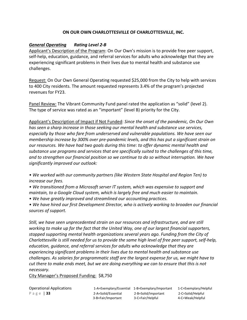# **ON OUR OWN CHARLOTTESVILLE OF CHARLOTTESVILLE, INC.**

#### *General Operating Rating Level 2‐B*

Applicant's Description of the Program: On Our Own's mission is to provide free peer support, self‐help, education, guidance, and referral services for adults who acknowledge that they are experiencing significant problems in their lives due to mental health and substance use challenges.

Request: On Our Own General Operating requested \$25,000 from the City to help with services to 400 City residents. The amount requested represents 3.4% of the program's projected revenues for FY23.

Panel Review: The Vibrant Community Fund panel rated the application as "solid" (level 2). The type of service was rated as an "important" (level B) priority for the City.

Applicant's Description of Impact if Not Funded: *Since the onset of the pandemic, On Our Own has seen a sharp increase in those seeking our mental health and substance use services, especially by those who fare from underserved and vulnerable populations. We have seen our membership increase by 300% over pre‐pandemic levels, and this has put a significant strain on our resources. We have had two goals during this time: to offer dynamic mental health and substance use programs and services that are specifically suited to the challenges of this time, and to strengthen our financial position so we continue to do so without interruption. We have significantly improved our outlook:*

*• We worked with our community partners (like Western State Hospital and Region Ten) to increase our fees.*

*• We transitioned from a Microsoft server IT system, which was expensive to support and maintain, to a Google Cloud system, which is largely free and much easier to maintain.*

*• We have greatly improved and streamlined our accounting practices.*

*• We have hired our first Development Director, who is actively working to broaden our financial sources of support.*

*Still, we have seen unprecedented strain on our resources and infrastructure, and are still working to make up for the fact that the United Way, one of our largest financial supporters, stopped supporting mental health organizations several years ago. Funding from the City of* Charlottesville is still needed for us to provide the same high level of free peer support, self-help, *education, guidance, and referral services for adults who acknowledge that they are experiencing significant problems in their lives due to mental health and substance use challenges. As salaries for programmatic staff are the largest expense for us, we might have to cut there to make ends meet, but we are doing everything we can to ensure that this is not necessary.*

City Manager's Proposed Funding: \$8,750

Operational Applications 1‐A=Exemplary/Essential 1‐B=Exemplary/Important 1‐C=Exemplary/Helpful Page | **33** 2‐A=Solid/Essential 2‐B=Solid/Important 2‐C=Solid/Helpful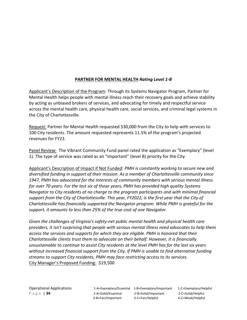# **PARTNER FOR MENTAL HEALTH** *Rating Level 1‐B*

Applicant's Description of the Program: Through its Systems Navigator Program, Partner for Mental Health helps people with mental illness reach their recovery goals and achieve stability by acting as unbiased brokers of services, and advocating for timely and respectful service across the mental health care, physical health care, social services, and criminal legal systems in the City of Charlottesville.

Request: Partner for Mental Health requested \$30,000 from the City to help with services to 100 City residents. The amount requested represents 11.5% of the program's projected revenues for FY23.

Panel Review: The Vibrant Community Fund panel rated the application as "Exemplary" (level 1). The type of service was rated as an "important" (level B) priority for the City.

Applicant's Description of Impact if Not Funded: *PMH is constantly working to secure new and diversified funding in support of their mission. As a member of Charlottesville community since 1947, PMH has advocated for the interests of community members with serious mental illness for over 70 years. For the last six of those years, PMH has provided high quality Systems Navigator to City residents at no charge to the program participants and with minimal financial support from the City of Charlottesville. This year, FY2022, is the first year that the City of Charlottesville has financially supported the Navigator program. While PMH is grateful for the support, it amounts to less than 25% of the true cost of one Navigator.*

*Given the challenges of Virginia's safety‐net public mental health and physical health care providers, it isn't surprising that people with serious mental illness need advocates to help them access the services and supports for which they are eligible. PMH is honored that their Charlottesville clients trust them to advocate on their behalf. However, it is financially unsustainable to continue to assist City residents at the level PMH has for the last six years without increased financial support from the City. If PMH is unable to find alternative funding streams to support City residents, PMH may face restricting access to its services.* City Manager's Proposed Funding: \$19,500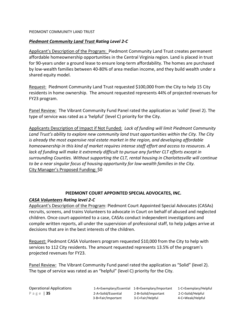# *Piedmont Community Land Trust Rating Level 2‐C*

Applicant's Description of the Program: Piedmont Community Land Trust creates permanent affordable homeownership opportunities in the Central Virginia region. Land is placed in trust for 90‐years under a ground lease to ensure long‐term affordability. The homes are purchased by low‐wealth families between 40‐80% of area median income, and they build wealth under a shared equity model.

Request: Piedmont Community Land Trust requested \$100,000 from the City to help 15 City residents in home ownership. The amount requested represents 44% of projected revenues for FY23 program.

Panel Review: The Vibrant Community Fund Panel rated the application as 'solid' (level 2). The type of service was rated as a 'helpful' (level C) priority for the City.

Applicants Description of Impact if Not Funded: *Lack of funding will limit Piedmont Community Land Trust's ability to explore new community land trust opportunities within the City. The City is already the most expensive real estate market in the region, and developing affordable homeownership in this kind of market requires intense staff effort and access to resources. A lack of funding will make it extremely difficult to pursue any further CLT efforts except in surrounding Counties. Without supporting the CLT, rental housing in Charlottesville will continue to be a near singular focus of housing opportunity for low‐wealth families in the City.* City Manager's Proposed Funding: \$0

# **PIEDMONT COURT APPOINTED SPECIAL ADVOCATES, INC.**

# *CASA Volunteers Rating level 2‐C*

Applicant's Description of the Program: Piedmont Court Appointed Special Advocates (CASAs) recruits, screens, and trains Volunteers to advocate in Court on behalf of abused and neglected children. Once court‐appointed to a case, CASAs conduct independent investigations and compile written reports, all under the supervision of professional staff, to help judges arrive at decisions that are in the best interests of the children.

Request: Piedmont CASA Volunteers program requested \$10,000 from the City to help with services to 112 City residents. The amount requested represents 13.5% of the program's projected revenues for FY23.

Panel Review: The Vibrant Community Fund panel rated the application as "Solid" (level 2). The type of service was rated as an "helpful" (level C) priority for the City.

Operational Applications 1‐A=Exemplary/Essential 1‐B=Exemplary/Important 1‐C=Exemplary/Helpful Page | **35** 2‐A=Solid/Essential 2‐B=Solid/Important 2‐C=Solid/Helpful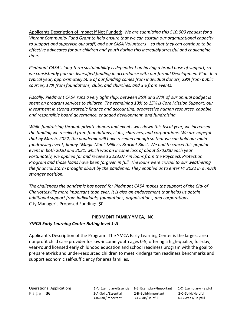Applicants Description of Impact if Not Funded: *We are submitting this \$10,000 request for a Vibrant Community Fund Grant to help ensure that we can sustain our organizational capacity to support and supervise our staff, and our CASA Volunteers – so that they can continue to be effective advocates for our children and youth during this incredibly stressful and challenging time.*

*Piedmont CASA's long‐term sustainability is dependent on having a broad base of support, so we consistently pursue diversified funding in accordance with our formal Development Plan. In a typical year, approximately 50% of our funding comes from individual donors, 29% from public sources, 17% from foundations, clubs, and churches, and 3% from events.*

*Fiscally, Piedmont CASA runs a very tight ship: between 85% and 87% of our annual budget is spent on program services to children. The remaining 13% to 15% is Core Mission Support: our investment in strong strategic finance and accounting, progressive human resources, capable and responsible board governance, engaged development, and fundraising.*

*While fundraising through private donors and events was down this fiscal year, we increased the funding we received from foundations, clubs, churches, and corporations. We are hopeful that by March, 2022, the pandemic will have receded enough so that we can hold our main fundraising event, Jimmy "Magic Man" Miller's Bracket Blast. We had to cancel this popular event in both 2020 and 2021, which was an income loss of about \$70,000 each year. Fortunately, we applied for and received \$233,077 in loans from the Paycheck Protection Program and those loans have been forgiven in full. The loans were crucial to our weathering the financial storm brought about by the pandemic. They enabled us to enter FY 2022 in a much stronger position.*

*The challenges the pandemic has posed for Piedmont CASA makes the support of the City of Charlottesville more important than ever. It is also an endorsement that helps us obtain additional support from individuals, foundations, organizations, and corporations.* City Manager's Proposed Funding: \$0

# **PIEDMONT FAMILY YMCA, INC.**

# *YMCA Early Learning Center Rating level 1‐A*

Applicant's Description of the Program: The YMCA Early Learning Center is the largest area nonprofit child care provider for low‐income youth ages 0‐5, offering a high‐quality, full‐day, year‐round licensed early childhood education and school readiness program with the goal to prepare at-risk and under-resourced children to meet kindergarten readiness benchmarks and support economic self-sufficiency for area families.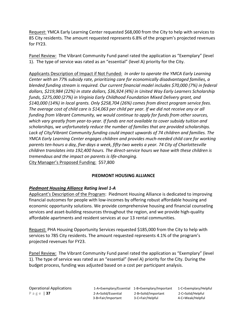Request: YMCA Early Learning Center requested \$68,000 from the City to help with services to 85 City residents. The amount requested represents 6.8% of the program's projected revenues for FY23.

Panel Review: The Vibrant Community Fund panel rated the application as "Exemplary" (level 1). The type of service was rated as an "essential" (level A) priority for the City.

Applicants Description of Impact if Not Funded: *In order to operate the YMCA Early Learning Center with an 77% subsidy rate, prioritizing care for economically disadvantaged families, a blended funding stream is required. Our current financial model includes \$70,000 (7%) in federal dollars, \$219,984 (22%) in state dollars, \$36,924 (4%) in United Way Early Learners Scholarship funds, \$275,000 (27%) in Virginia Early Childhood Foundation Mixed Delivery grant, and \$140,000 (14%) in local grants. Only \$258,704 (26%) comes from direct program service fees.* The average cost of child care is \$14,063 per child per year. If we did not receive any or all *funding from Vibrant Community, we would continue to apply for funds from other sources,* which vary greatly from year-to-year. If funds are not available to cover subsidy tuition and *scholarships, we unfortunately reduce the number of families that are provided scholarships. Lack of City/Vibrant Community funding could impact upwards of 74 children and families. The YMCA Early Learning Center engages children and provides much‐needed child care for working* parents ten-hours a day, five-days a week, fifty-two weeks a year. 74 City of Charlottesville *children translates into 192,400 hours. The direct‐service hours we have with these children is tremendous and the impact on parents is life‐changing.* City Manager's Proposed Funding: \$57,800

# **PIEDMONT HOUSING ALLIANCE**

# *Piedmont Housing Alliance Rating level 1‐A*

Applicant's Description of the Program: Piedmont Housing Alliance is dedicated to improving financial outcomes for people with low-incomes by offering robust affordable housing and economic opportunity solutions. We provide comprehensive housing and financial counseling services and asset-building resources throughout the region, and we provide high-quality affordable apartments and resident services at our 13 rental communities.

Request: PHA Housing Opportunity Services requested \$185,000 from the City to help with services to 785 City residents. The amount requested represents 4.1% of the program's projected revenues for FY23.

Panel Review: The Vibrant Community Fund panel rated the application as "Exemplary" (level 1). The type of service was rated as an "essential" (level A) priority for the City. During the budget process, funding was adjusted based on a cost per participant analysis.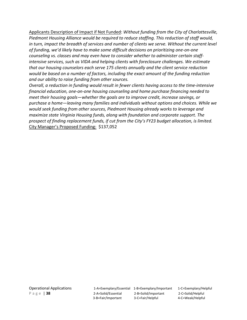Applicants Description of Impact if Not Funded: *Without funding from the City of Charlottesville, Piedmont Housing Alliance would be required to reduce staffing. This reduction of staff would, in turn, impact the breadth of services and number of clients we serve. Without the current level of funding, we'd likely have to make some difficult decisions on prioritizing one‐on‐one counseling vs. classes and may even have to consider whether to administer certain staff‐ intensive services, such as VIDA and helping clients with foreclosure challenges. We estimate that our housing counselors each serve 175 clients annually and the client service reduction would be based on a number of factors, including the exact amount of the funding reduction and our ability to raise funding from other sources.*

*Overall, a reduction in funding would result in fewer clients having access to the time‐intensive financial education, one‐on‐one housing counseling and home purchase financing needed to meet their housing goals—whether the goals are to improve credit, increase savings, or purchase a home—leaving many families and individuals without options and choices. While we would seek funding from other sources, Piedmont Housing already works to leverage and maximize state Virginia Housing funds, along with foundation and corporate support. The prospect of finding replacement funds, if cut from the City's FY23 budget allocation, is limited.* City Manager's Proposed Funding: \$137,052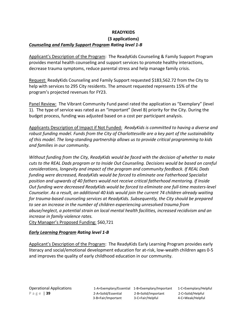#### **READYKIDS**

# **(3 applications)** *Counseling and Family Support Program Rating level 1‐B*

Applicant's Description of the Program: The ReadyKids Counseling & Family Support Program provides mental health counseling and support services to promote healthy interactions, decrease trauma symptoms, reduce parental stress and help manage family crisis.

Request: ReadyKids Counseling and Family Support requested \$183,562.72 from the City to help with services to 295 City residents. The amount requested represents 15% of the program's projected revenues for FY23.

Panel Review: The Vibrant Community Fund panel rated the application as "Exemplary" (level 1). The type of service was rated as an "important" (level B) priority for the City. During the budget process, funding was adjusted based on a cost per participant analysis.

Applicants Description of Impact if Not Funded: *ReadyKids is committed to having a diverse and robust funding model. Funds from the City of Charlottesville are a key part of the sustainability of this model. The long‐standing partnership allows us to provide critical programming to kids and families in our community.*

*Without funding from the City, ReadyKids would be faced with the decision of whether to make cuts to the REAL Dads program or to Inside Out Counseling. Decisions would be based on careful considerations, longevity and impact of the program and community feedback. If REAL Dads funding were decreased, ReadyKids would be forced to eliminate one Fatherhood Specialist position and upwards of 40 fathers would not receive critical fatherhood mentoring. If Inside Out funding were decreased ReadyKids would be forced to eliminate one full‐time masters‐level Counselor. As a result, an additional 40 kids would join the current 74 children already waiting for trauma‐based counseling services at ReadyKids. Subsequently, the City should be prepared to see an increase in the number of children experiencing unresolved trauma from abuse/neglect, a potential strain on local mental health facilities, increased recidivism and an increase in family violence rates.*

City Manager's Proposed Funding: \$60,721

# *Early Learning Program Rating level 1‐B*

Applicant's Description of the Program: The ReadyKids Early Learning Program provides early literacy and social/emotional development education for at-risk, low-wealth children ages 0-5 and improves the quality of early childhood education in our community.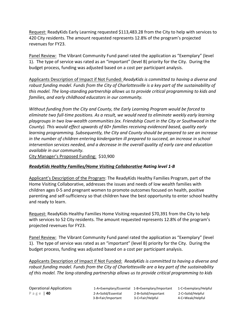Request: ReadyKids Early Learning requested \$113,483.28 from the City to help with services to 420 City residents. The amount requested represents 12.8% of the program's projected revenues for FY23.

Panel Review: The Vibrant Community Fund panel rated the application as "Exemplary" (level 1). The type of service was rated as an "important" (level B) priority for the City. During the budget process, funding was adjusted based on a cost per participant analysis.

Applicants Description of Impact if Not Funded: *ReadyKids is committed to having a diverse and robust funding model. Funds from the City of Charlottesville is a key part of the sustainability of this model. The long‐standing partnership allows us to provide critical programming to kids and families, and early childhood educators in our community.*

*Without funding from the City and County, the Early Learning Program would be forced to eliminate two full‐time positions. As a result, we would need to eliminate weekly early learning playgroups in two low‐wealth communities (ex. Friendship Court in the City or Southwood in the County). This would effect upwards of 60+ families receiving evidenced based, quality early learning programming. Subsequently, the City and County should be prepared to see an increase in the number of children entering kindergarten ill prepared to succeed, an increase in school intervention services needed, and a decrease in the overall quality of early care and education available in our community.*

City Manager's Proposed Funding: \$10,900

# *ReadyKids Healthy Families/Home Visiting Collaborative Rating level 1‐B*

Applicant's Description of the Program: The ReadyKids Healthy Families Program, part of the Home Visiting Collaborative, addresses the issues and needs of low wealth families with children ages 0‐5 and pregnant women to promote outcomes focused on health, positive parenting and self‐sufficiency so that children have the best opportunity to enter school healthy and ready to learn.

Request: ReadyKids Healthy Families Home Visiting requested \$70,391 from the City to help with services to 52 City residents. The amount requested represents 12.8% of the program's projected revenues for FY23.

Panel Review: The Vibrant Community Fund panel rated the application as "Exemplary" (level 1). The type of service was rated as an "important" (level B) priority for the City. During the budget process, funding was adjusted based on a cost per participant analysis.

Applicants Description of Impact if Not Funded: *ReadyKids is committed to having a diverse and robust funding model. Funds from the City of Charlottesville are a key part of the sustainability of this model. The long‐standing partnership allows us to provide critical programming to kids*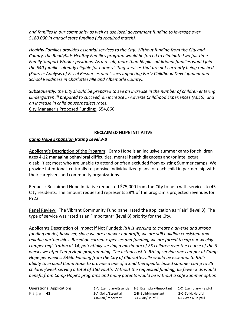*and families in our community as well as use local government funding to leverage over \$180,000 in annual state funding (via required match).*

*Healthy Families provides essential services to the City. Without funding from the City and County, the ReadyKids Healthy Families program would be forced to eliminate two full‐time Family Support Worker positions. As a result, more than 60 plus additional families would join the 540 families already eligible for home visiting services that are not currently being reached (Source: Analysis of Fiscal Resources and Issues Impacting Early Childhood Development and School Readiness in Charlottesville and Albemarle County).*

*Subsequently, the City should be prepared to see an increase in the number of children entering kindergarten ill prepared to succeed, an increase in Adverse Childhood Experiences (ACES), and an increase in child abuse/neglect rates.* City Manager's Proposed Funding: \$54,860

#### **RECLAIMED HOPE INITIATIVE**

#### *Camp Hope Expansion Rating Level 3‐B*

Applicant's Description of the Program: Camp Hope is an inclusive summer camp for children ages 4‐12 managing behavioral difficulties, mental health diagnoses and/or intellectual disabilities; most who are unable to attend or often excluded from existing Summer camps. We provide intentional, culturally responsive individualized plans for each child in partnership with their caregivers and community organizations.

Request: Reclaimed Hope Initiative requested \$75,000 from the City to help with services to 45 City residents. The amount requested represents 28% of the program's projected revenues for FY23.

Panel Review: The Vibrant Community Fund panel rated the application as "Fair" (level 3). The type of service was rated as an "important" (level B) priority for the City.

Applicants Description of Impact if Not Funded: *RHI is working to create a diverse and strong funding model, however, since we are a newer nonprofit, we are still building consistent and reliable partnerships. Based on current expenses and funding, we are forced to cap our weekly camper registration at 14, potentially serving a maximum of 85 children over the course of the 6 weeks we offer Camp Hope programming. The actual cost to RHI of serving one camper at Camp Hope per week is \$466. Funding from the City of Charlottesville would be essential to RHI's ability to expand Camp Hope to provide a one of a kind therapeutic based summer camp to 25 children/week serving a total of 150 youth. Without the requested funding, 65 fewer kids would benefit from Camp Hope's programs and many parents would be without a safe Summer option*

Operational Applications 1‐A=Exemplary/Essential 1‐B=Exemplary/Important 1‐C=Exemplary/Helpful Page | 41 **1 2**-A=Solid/Essential **2**-B=Solid/Important  **2**-C=Solid/Helpful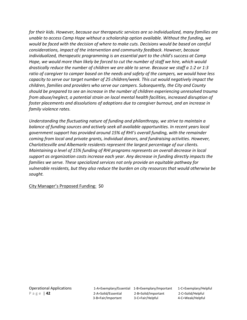*for their kids. However, because our therapeutic services are so individualized, many families are unable to access Camp Hope without a scholarship option available. Without the funding, we would be faced with the decision of where to make cuts. Decisions would be based on careful considerations, impact of the intervention and community feedback. However, because individualized, therapeutic programming is an essential part to the child's success at Camp Hope, we would more than likely be forced to cut the number of staff we hire, which would drastically reduce the number of children we are able to serve. Because we staff a 1:2 or 1:3 ratio of caregiver to camper based on the needs and safety of the campers, we would have less capacity to serve our target number of 25 children/week. This cut would negatively impact the children, families and providers who serve our campers. Subsequently, the City and County should be prepared to see an increase in the number of children experiencing unresolved trauma from abuse/neglect, a potential strain on local mental health facilities, increased disruption of foster placements and dissolutions of adoptions due to caregiver burnout, and an increase in family violence rates.*

*Understanding the fluctuating nature of funding and philanthropy, we strive to maintain a balance of funding sources and actively seek all available opportunities. In recent years local government support has provided around 15% of RHI's overall funding, with the remainder coming from local and private grants, individual donors, and fundraising activities. However, Charlottesville and Albemarle residents represent the largest percentage of our clients. Maintaining a level of 15% funding of RHI programs represents an overall decrease in local support as organization costs increase each year. Any decrease in funding directly impacts the families we serve. These specialized services not only provide an equitable pathway for vulnerable residents, but they also reduce the burden on city resources that would otherwise be sought.*

City Manager's Proposed Funding: \$0

Operational Applications 1‐A=Exemplary/Essential 1‐B=Exemplary/Important 1‐C=Exemplary/Helpful Page | **42** 2‐A=Solid/Essential 2‐B=Solid/Important 2‐C=Solid/Helpful 3‐B=Fair/Important 3‐C=Fair/Helpful 4‐C=Weak/Helpful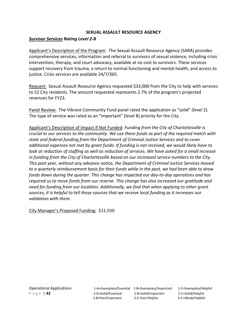#### **SEXUAL ASSAULT RESOURCE AGENCY**

# *Survivor Services Rating Level 2‐B*

Applicant's Description of the Program: The Sexual Assault Resource Agency (SARA) provides comprehensive services, information and referral to survivors of sexual violence, including crisis intervention, therapy, and court advocacy, available at no cost to survivors. These services support recovery from trauma, a return to normal functioning and mental health, and access to justice. Crisis services are available 24/7/365.

Request: Sexual Assault Resource Agency requested \$33,000 from the City to help with services to 52 City residents. The amount requested represents 2.7% of the program's projected revenues for FY23.

Panel Review: The Vibrant Community Fund panel rated the application as "solid" (level 2). The type of service was rated as an "important" (level B) priority for the City.

Applicant's Description of Impact if Not Funded: *Funding from the City of Charlottesville is crucial to our services to the community. We use these funds as part of the required match with state and federal funding from the Department of Criminal Justice Services and to cover additional expenses not met by grant funds. If funding is not received, we would likely have to look at reduction of staffing as well as reduction of services. We have asked for a small increase in funding from the City of Charlottesville based on our increased service numbers to the City. This past year, without any advance notice, the Department of Criminal Justice Services moved to a quarterly reimbursement basis for their funds while in the past, we had been able to draw funds down during the quarter. This change has impacted our day‐to‐day operations and has required us to move funds from our reserve. This change has also increased our gratitude and need for funding from our localities. Additionally, we find that when applying to other grant sources, it is helpful to tell those sources that we receive local funding as it increases our validation with them.*

City Manager's Proposed Funding: \$11,550

Operational Applications 1‐A=Exemplary/Essential 1‐B=Exemplary/Important 1‐C=Exemplary/Helpful Page | **43** 2‐A=Solid/Essential 2‐B=Solid/Important 2‐C=Solid/Helpful 3‐B=Fair/Important 3‐C=Fair/Helpful 4‐C=Weak/Helpful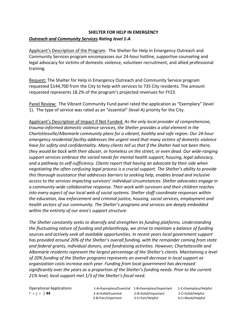# **SHELTER FOR HELP IN EMERGENCY**

# *Outreach and Community Services Rating level 1‐A*

Applicant's Description of the Program: The Shelter for Help in Emergency Outreach and Community Services program encompasses our 24‐hour hotline, supportive counseling and legal advocacy for victims of domestic violence, volunteer recruitment, and allied professional training.

Request: The Shelter for Help in Emergency Outreach and Community Service program requested \$144,700 from the City to help with services to 735 City residents. The amount requested represents 18.2% of the program's projected revenues for FY23.

Panel Review: The Vibrant Community Fund panel rated the application as "Exemplary" (level 1). The type of service was rated as an "essential" (level A) priority for the City.

Applicant's Description of Impact if Not Funded: *As the only local provider of comprehensive, trauma‐informed domestic violence services, the Shelter provides a vital element in the Charlottesville/Albemarle community plans for a vibrant, healthy and safe region. Our 24‐hour emergency residential facility addresses the urgent need that many victims of domestic violence have for safety and confidentiality. Many clients tell us that if the Shelter had not been there,* they would be back with their abuser, or homeless on the street, or even dead. Our wide-ranging *support services embrace the varied needs for mental health support, housing, legal advocacy, and a pathway to self‐sufficiency. Clients report that having an advocate by their side when negotiating the often confusing legal process is a crucial support. The Shelter's ability to provide this thorough assistance that addresses barriers to seeking help, enables broad and inclusive access to the services impacting survivors' individual circumstances. Shelter advocates engage in a community‐wide collaborative response. Their work with survivors and their children reaches into every aspect of our local web of social systems. Shelter staff coordinate responses within the education, law enforcement and criminal justice, housing, social services, employment and health sectors of our community. The Shelter's programs and services are deeply embedded within the entirety of our area's support structure.*

*The Shelter constantly seeks to diversify and strengthen its funding platforms. Understanding the fluctuating nature of funding and philanthropy, we strive to maintain a balance of funding sources and actively seek all available opportunities. In recent years local government support has provided around 20% of the Shelter's overall funding, with the remainder coming from state and federal grants, individual donors, and fundraising activities. However, Charlottesville and Albemarle residents represent the largest percentage of the Shelter's clients. Maintaining a level of 20% funding of the Shelter programs represents an overall decrease in local support as organization costs increase each year. Funding from local government has decreased significantly over the years as a proportion of the Shelter's funding needs. Prior to the current 21% level, local support met 1/3 of the Shelter's fiscal need.*

Operational Applications 1‐A=Exemplary/Essential 1‐B=Exemplary/Important 1‐C=Exemplary/Helpful Page | **44** 2‐A=Solid/Essential 2‐B=Solid/Important 2‐C=Solid/Helpful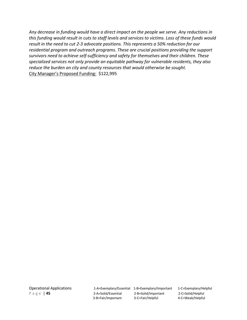*Any decrease in funding would have a direct impact on the people we serve. Any reductions in* this funding would result in cuts to staff levels and services to victims. Loss of these funds would *result in the need to cut 2‐3 advocate positions. This represents a 50% reduction for our residential program and outreach programs. These are crucial positions providing the support survivors need to achieve self‐sufficiency and safety for themselves and their children. These specialized services not only provide an equitable pathway for vulnerable residents, they also reduce the burden on city and county resources that would otherwise be sought.* City Manager's Proposed Funding: \$122,995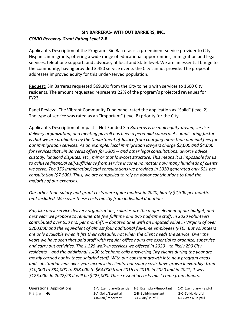#### **SIN BARRERAS‐ WITHOUT BARRIERS, INC.**

## *COVID Recovery Grant Rating Level 2‐B*

Applicant's Description of the Program: Sin Barreras is a preeminent service provider to City Hispanic immigrants, offering a wide range of educational opportunities, immigration and legal services, telephone support, and advocacy at local and State level. We are an essential bridge to the community, having provided 3,450 service events the City cannot provide. The proposal addresses improved equity for this under‐served population.

Request: Sin Barreras requested \$69,300 from the City to help with services to 1600 City residents. The amount requested represents 22% of the program's projected revenues for FY23.

Panel Review: The Vibrant Community Fund panel rated the application as "Solid" (level 2). The type of service was rated as an "important" (level B) priority for the City.

Applicant's Description of Impact if Not Funded Sin *Barreras is a small equity‐driven, service‐ delivery organization; and meeting payroll has been a perennial concern. A complicating factor is that we are prohibited by the Department of Justice from charging more than nominal fees for our immigration services. As an example, local immigration lawyers charge \$3,000 and \$4,000 for services that Sin Barreras offers for \$300 ‐‐ and other legal consultations, divorce advice, custody, landlord disputes, etc., mirror that low‐cost structure. This means it is impossible for us to achieve financial self‐sufficiency from service income no matter how many hundreds of clients we serve. The 350 immigration/legal consultations we provided in 2020 generated only \$21 per consultation (\$7,500). Thus, we are compelled to rely on donor contributions to fund the majority of our expenses.*

Our other-than-salary-and-grant costs were quite modest in 2020, barely \$2,300 per month, *rent included. We cover these costs mostly from individual donations.*

*But, like most service delivery organizations, salaries are the major element of our budget; and next year we propose to remunerate five fulltime and two half‐time staff. In 2020 volunteers contributed over 650 hrs. per month(!) – donated time with an imputed value in Virginia of over \$200,000 and the equivalent of almost four additional full‐time employees (FTE). But volunteers are only available when it fits their schedule, not when the client needs the service. Over the years we have seen that paid staff with regular office hours are essential to organize, supervise and carry out activities. The 1,325 walk‐in services we offered in 2020—to likely 290 City residents – and the additional 1,400 telephone calls answering City clients during the year are mostly carried out by these salaried staff. With our constant growth into new program areas and substantial year‐over‐year increase in clients, our salary costs have grown inexorably: from \$10,000 to \$34,000 to \$38,000 to \$64,000 from 2016 to 2019. In 2020 and in 2021, it was \$125,000. In 2022/23 it will be \$225,000. These essential costs must come from donors.*

Operational Applications 1‐A=Exemplary/Essential 1‐B=Exemplary/Important 1‐C=Exemplary/Helpful Page | **46** 2‐A=Solid/Essential 2‐B=Solid/Important 2‐C=Solid/Helpful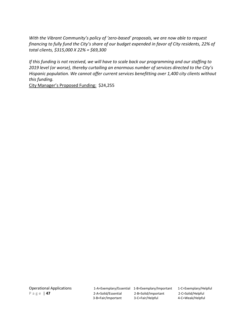*With the Vibrant Community's policy of 'zero‐based' proposals, we are now able to request financing to fully fund the City's share of our budget expended in favor of City residents, 22% of total clients, \$315,000 X 22% = \$69,300*

*If this funding is not received, we will have to scale back our programming and our staffing to 2019 level (or worse), thereby curtailing an enormous number of services directed to the City's Hispanic population. We cannot offer current services benefitting over 1,400 city clients without this funding.*

City Manager's Proposed Funding: \$24,255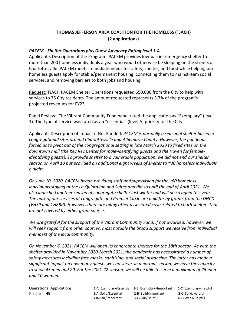# **THOMAS JEFFERSON AREA COALITION FOR THE HOMELESS (TJACH) (2 applications)**

# *PACEM ‐ Shelter Operations plus Guest Advocacy Rating level 1‐A*

Applicant's Description of the Program: PACEM provides low-barrier emergency shelter to more than 200 homeless individuals a year who would otherwise be sleeping on the streets of Charlottesville. PACEM meets immediate needs for safety, shelter, and food while helping our homeless guests apply for stable/permanent housing, connecting them to mainstream social services, and removing barriers to both jobs and housing.

Request: TJACH PACEM Shelter Operations requested \$50,000 from the City to help with services to 75 City residents. The amount requested represents 3.7% of the program's projected revenues for FY23.

Panel Review: The Vibrant Community Fund panel rated the application as "Exemplary" (level 1). The type of service was rated as an "essential" (level A) priority for the City.

Applicants Description of Impact if Not Funded: *PACEM is normally a seasonal shelter based in congregational sites around Charlottesville and Albemarle County. However, the pandemic forced us to pivot out of the congregational setting in late March 2020 to fixed sites on the downtown mall (the Key Rec Center for male‐identifying guests and the Haven for female‐ identifying guests). To provide shelter to a vulnerable population, we did not end our shelter season on April 10 but provided an additional eight weeks of shelter to ~30 homeless individuals a night.*

*On June 10, 2020, PACEM began providing staff and supervision for the ~60 homeless* individuals staying at the La Quinta Inn and Suites and did so until the end of April 2021. We *also launched another season of congregate shelter last winter and will do so again this year. The bulk of our services at congregate and Premier Circle are paid for by grants from the DHCD (VHSP and CHERP). However, there are many other associated costs related to both shelters that are not covered by either grant source.*

*We are grateful for the support of the Vibrant Community Fund. if not awarded, however, we will seek support from other sources, most notably the broad support we receive from individual members of the local community.*

*On November 6, 2021, PACEM will open its congregate shelters for the 18th season. As with the shelter provided in November 2020‐March 2021, the pandemic has necessitated a number of safety measures including face masks, sanitizing, and social distancing. The latter has made a significant impact on how many guests we can serve. In a normal season, we have the capacity* to serve 45 men and 20. For the 2021-22 season, we will be able to serve a maximum of 25 men *and 10 women.*

| <b>Operational Applications</b> |  |  |  |           |  |
|---------------------------------|--|--|--|-----------|--|
|                                 |  |  |  | Page   48 |  |

1-A=Exemplary/Essential 1-B=Exemplary/Important 1-C=Exemplary/Helpful Page | **48** 2‐A=Solid/Essential 2‐B=Solid/Important 2‐C=Solid/Helpful 3‐B=Fair/Important 3‐C=Fair/Helpful 4‐C=Weak/Helpful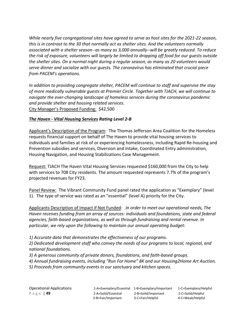*While nearly five congregational sites have agreed to serve as host sites for the 2021‐22 season, this is in contrast to the 30 that normally act as shelter sites. And the volunteers normally associated with a shelter season‐‐as many as 3,000 annually‐‐will be greatly reduced. To reduce the risk of exposure, volunteers will largely be limited to dropping off food for our guests outside the shelter sites. On a normal night during a regular season, as many as 20 volunteers would serve dinner and socialize with our guests. The coronavirus has eliminated that crucial piece from PACEM's operations.*

*In addition to providing congregate shelter, PACEM will continue to staff and supervise the stay of more medically vulnerable guests at Premier Circle. Together with TJACH, we will continue to navigate the ever‐changing landscape of homeless services during the coronavirus pandemic and provide shelter and housing related services.* City Manager's Proposed Funding: \$42,500

# *The Haven ‐ Vital Housing Services Rating Level 2‐B*

Applicant's Description of the Program: The Thomas Jefferson Area Coalition for the Homeless requests financial support on behalf of The Haven to provide vital housing services to individuals and families at risk of or experiencing homelessness, including Rapid Re‐housing and Prevention subsidies and services, Diversion and Intake, Coordinated Entry administration, Housing Navigation, and Housing Stabilizations Case Management.

Request: TJACH The Haven Vital Housing Services requested \$160,000 from the City to help with services to 708 City residents. The amount requested represents 7.7% of the program's projected revenues for FY23.

Panel Review: The Vibrant Community Fund panel rated the application as "Exemplary" (level 1). The type of service was rated as an "essential" (level A) priority for the City.

Applicants Description of Impact if Not Funded: *In order to meet our operational needs, The Haven receives funding from an array of sources: individuals and foundations, state and federal agencies, faith‐based organizations, as well as through fundraising and rental revenue. In particular, we rely upon the following to maintain our annual operating budget:*

*1) Accurate data that demonstrates the effectiveness of our programs.*

*2) Dedicated development staff who convey the needs of our programs to local, regional, and national foundations.*

*3) A generous community of private donors, foundations, and faith‐based groups.*

*4) Annual fundraising events, including "Run For Home" 8K and our Housing2Home Art Auction.*

*5) Proceeds from community events in our sanctuary and kitchen spaces.*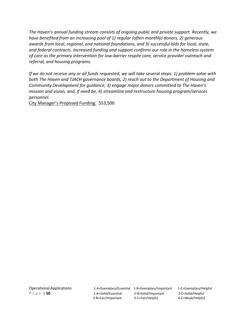*The Haven's annual funding stream consists of ongoing public and private support. Recently, we have benefited from an increasing pool of 1) regular (often monthly) donors, 2) generous awards from local, regional, and national foundations, and 3) successful bids for local, state, and federal contracts. Increased funding and support confirms our role in the homeless system of care as the primary intervention for low‐barrier respite care, service provider outreach and referral, and housing programs.*

If we do not receive any or all funds requested, we will take several steps: 1) problem-solve with *both The Haven and TJACH governance boards, 2) reach out to the Department of Housing and Community Development for guidance, 3) engage major donors committed to The Haven's mission and vision, and, if need be, 4) streamline and restructure housing program/services personnel.*

City Manager's Proposed Funding: \$53,500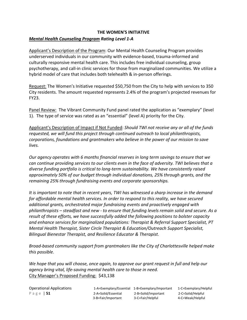# **THE WOMEN'S INITIATIVE**

# *Mental Health Counseling Program Rating Level 1‐A*

Applicant's Description of the Program: Our Mental Health Counseling Program provides underserved individuals in our community with evidence‐based, trauma‐informed and culturally responsive mental health care. This includes free individual counseling, group psychotherapy, and call‐in clinic services for those from marginalized communities. We utilize a hybrid model of care that includes both telehealth & in‐person offerings.

Request: The Women's Initiative requested \$50,750 from the City to help with services to 350 City residents. The amount requested represents 2.4% of the program's projected revenues for FY23.

Panel Review: The Vibrant Community Fund panel rated the application as "exemplary" (level 1). The type of service was rated as an "essential" (level A) priority for the City.

Applicant's Description of Impact if Not Funded: *Should TWI not receive any or all of the funds requested, we will fund this project through continued outreach to local philanthropists, corporations, foundations and grantmakers who believe in the power of our mission to save lives.*

*Our agency operates with 6 months financial reserves in long term savings to ensure that we can continue providing services to our clients even in the face of adversity. TWI believes that a diverse funding portfolio is critical to long‐term sustainability. We have consistently raised approximately 50% of our budget through individual donations, 25% through grants, and the remaining 25% through fundraising events and corporate sponsorships.*

*It is important to note that in recent years, TWI has witnessed a sharp increase in the demand for affordable mental health services. In order to respond to this reality, we have secured additional grants, orchestrated major fundraising events and proactively engaged with philanthropists – steadfast and new ‐ to ensure that funding levels remain solid and secure. As a result of these efforts, we have successfully added the following positions to bolster capacity and enhance services for marginalized populations: Therapist & Referral Support Specialist, PT Mental Health Therapist, Sister Circle Therapist & Education/Outreach Support Specialist, Bilingual Bienestar Therapist, and Resilience Educator & Therapist.*

*Broad‐based community support from grantmakers like the City of Charlottesville helped make this possible.*

*We hope that you will choose, once again, to approve our grant request in full and help our agency bring vital, life‐saving mental health care to those in need.* City Manager's Proposed Funding: \$43,138

| <b>Operational Applications</b> | 1-A=Exemplary/Essential | 1-B=Exemplary/Important | 1-C=Exemplary/Helpful |
|---------------------------------|-------------------------|-------------------------|-----------------------|
| Page   51                       | 2-A=Solid/Essential     | 2-B=Solid/Important     | 2-C=Solid/Helpful     |
|                                 | 3-B=Fair/Important      | 3-C=Fair/Helpful        | 4-C=Weak/Helpful      |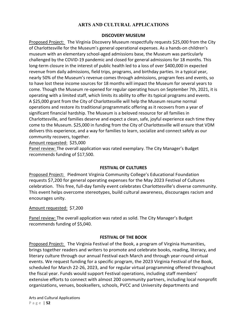# **ARTS AND CULTURAL APPLICATIONS**

# **DISCOVERY MUSEUM**

Proposed Project: The Virginia Discovery Museum respectfully requests \$25,000 from the City of Charlottesville for the Museum's general operational expenses. As a hands‐on children's museum with an elementary school‐aged admissions base, the Museum was particularly challenged by the COVID‐19 pandemic and closed for general admissions for 18 months. This long-term closure in the interest of public health led to a loss of over \$400,000 in expected revenue from daily admissions, field trips, programs, and birthday parties. In a typical year, nearly 50% of the Museum's revenue comes through admissions, program fees and events, so to have lost these income sources for 18 months will impact the Museum for several years to come. Though the Museum re‐opened for regular operating hours on September 7th, 2021, it is operating with a limited staff, which limits its ability to offer its typical programs and events. A \$25,000 grant from the City of Charlottesville will help the Museum resume normal operations and restore its traditional programmatic offering as it recovers from a year of significant financial hardship. The Museum is a beloved resource for all families in Charlottesville, and families deserve and expect a clean, safe, joyful experience each time they come to the Museum. \$25,000 in funding from the City of Charlottesville will ensure that VDM delivers this experience, and a way for families to learn, socialize and connect safely as our community recovers, together.

Amount requested: \$25,000

Panel review: The overall application was rated exemplary. The City Manager's Budget recommends funding of \$17,500.

# **FESTIVAL OF CULTURES**

Proposed Project: Piedmont Virginia Community College's Educational Foundation requests \$7,200 for general operating expenses for the May 2023 Festival of Cultures celebration. This free, full‐day family event celebrates Charlottesville's diverse community. This event helps overcome stereotypes, build cultural awareness, discourages racism and encourages unity.

#### Amount requested: \$7,200

Panel review: The overall application was rated as solid. The City Manager's Budget recommends funding of \$5,040.

#### **FESTIVAL OF THE BOOK**

Proposed Project: The Virginia Festival of the Book, a program of Virginia Humanities, brings together readers and writers to promote and celebrate books, reading, literacy, and literary culture through our annual Festival each March and through year‐round virtual events. We request funding for a specific program, the 2023 Virginia Festival of the Book, scheduled for March 22‐26, 2023, and for regular virtual programming offered throughout the fiscal year. Funds would support Festival operations, including staff members' extensive efforts to connect with almost 200 community partners, including local nonprofit organizations, venues, booksellers, schools, PVCC and University departments and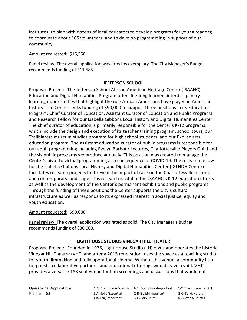institutes; to plan with dozens of local educators to develop programs for young readers; to coordinate about 165 volunteers; and to develop programming in support of our community.

Amount requested: \$16,550

Panel review: The overall application was rated as exemplary. The City Manager's Budget recommends funding of \$11,585.

# **JEFFERSON SCHOOL**

Proposed Project: The Jefferson School African American Heritage Center (JSAAHC) Education and Digital Humanities Program offers life‐long learners interdisciplinary learning opportunities that highlight the role African Americans have played in American history. The Center seeks funding of \$90,000 to support three positions in its Education Program: Chief Curator of Education, Assistant Curator of Education and Public Programs and Research Fellow for our Isabella Gibbons Local History and Digital Humanities Center. The chief curator of education is primarily responsible for the Center's K‐12 programs, which include the design and execution of its teacher training program, school tours, our Trailblazers museum studies program for high school students, and our Eko Ise arts education program. The assistant education curator of public programs is responsible for our adult programming including Evelyn Barbour Lectures, Charlottesville Players Guild and the six public programs we produce annually. This position was created to manage the Center's pivot to virtual programming as a consequence of COVID‐19. The research fellow for the Isabella Gibbons Local History and Digital Humanities Center (IGLHDH Center) facilitates research projects that reveal the impact of race on the Charlottesville historic and contemporary landscape. This research is vital to the JSAAHC's K‐12 education efforts as well as the development of the Center's permanent exhibitions and public programs. Through the funding of these positions the Center supports the City's cultural infrastructure as well as responds to its expressed interest in social justice, equity and youth education.

# Amount requested: \$90,000

Panel review: The overall application was rated as solid. The City Manager's Budget recommends funding of \$36,000.

# **LIGHTHOUSE STUDIOS VINEGAR HILL THEATER**

Proposed Project: Founded in 1976, Light House Studio (LH) owns and operates the historic Vinegar Hill Theatre (VHT) and after a 2015 renovation, uses the space as a teaching studio for youth filmmaking and fully operational cinema. Without this venue, a community hub for guests, collaborative partners, and educational offerings would leave a void. VHT provides a versatile 183 seat venue for film screenings and discussions that would not

Operational Applications 1‐A=Exemplary/Essential 1‐B=Exemplary/Important 1‐C=Exemplary/Helpful Page | **53** 2‐A=Solid/Essential 2‐B=Solid/Important 2‐C=Solid/Helpful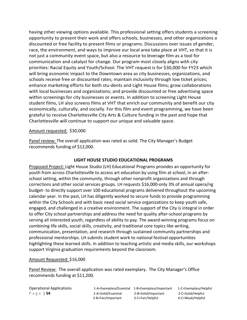having other viewing options available. This professional setting offers students a screening opportunity to present their work and offers schools, businesses, and other organizations a discounted or free facility to present films or programs. Discussions over issues of gender, race, the environment, and ways to improve our local area take place at VHT, so that it is not just a community event space, but also a resource to leverage film as a tool for communication and catalyst for change. Our program most closely aligns with city priorities: Racial Equity and Youth/School. The VHT request is for \$30,000 for FY23 which will bring economic impact to the Downtown area as city businesses, organizations, and schools receive free or discounted rates; maintain inclusivity through low ticket prices; enhance marketing efforts for both stu-dents and Light House films; grow collaborations with local businesses and organizations; and provide discounted or free advertising space within screenings for city businesses or events. In addition to screening Light House student films, LH also screens films at VHT that enrich our community and benefit our city economically, culturally, and socially. For this film and event programming, we have been grateful to receive Charlottesville City Arts & Culture funding in the past and hope that Charlottesville will continue to support our unique and valuable space.

#### Amount requested: \$30,000

Panel review: The overall application was rated as solid. The City Manager's Budget recommends funding of \$12,000.

## **LIGHT HOUSE STUDIO EDUCATIONAL PROGRAMS**

Proposed Project: Light House Studio (LH) Educational Programs provides an opportunity for youth from across Charlottesville to access art education by using film at school, in an after‐ school setting, within the community, through other nonprofit organizations and through corrections and other social services groups. LH requests \$16,000‐only 3% of annual opera/ng budget‐ to directly support over 100 educational programs delivered throughout the upcoming calendar year. In the past, LH has diligently worked to secure funds to provide programming within the City Schools and with basic need social service organizations to keep youth safe, engaged, and challenged in a creative environment. The support of the City is integral in order to offer City school partnerships and address the need for quality after‐school programs by serving all interested youth, regardless of ability to pay. The award-winning programs focus on combining life skills, social skills, creativity, and traditional core topics like writing, communication, presentation, and research through sustained community partnerships and professional mentorships. LH submits student work to national festival opportunities highlighting these learned skills. In addition to teaching artistic and media skills, our workshops support Virginia graduation requirements beyond the classroom.

#### Amount Requested: \$16,000

Panel Review: The overall application was rated exemplary. The City Manager's Office recommends funding at \$11,200.

| <b>Operational Applications</b> |                     | 1-A=Exemplary/Essential 1-B=Exemplary/Important | 1-C=Exemplary/Helpful |
|---------------------------------|---------------------|-------------------------------------------------|-----------------------|
| Page $ 54 $                     | 2-A=Solid/Essential | 2-B=Solid/Important                             | 2-C=Solid/Helpful     |
|                                 | 3-B=Fair/Important  | 3-C=Fair/Helpful                                | 4-C=Weak/Helpful      |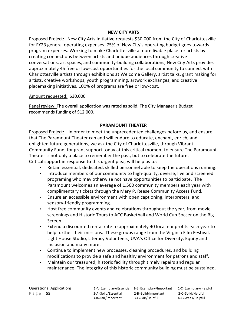#### **NEW CITY ARTS**

Proposed Project: New City Arts Initiative requests \$30,000 from the City of Charlottesville for FY23 general operating expenses. 75% of New City's operating budget goes towards program expenses. Working to make Charlottesville a more livable place for artists by creating connections between artists and unique audiences through creative conversations, art spaces, and community‐building collaborations, New City Arts provides approximately 45 free or low‐cost opportunities for the local community to connect with Charlottesville artists through exhibitions at Welcome Gallery, artist talks, grant making for artists, creative workshops, youth programming, artwork exchanges, and creative placemaking initiatives. 100% of programs are free or low‐cost.

#### Amount requested: \$30,000

Panel review: The overall application was rated as solid. The City Manager's Budget recommends funding of \$12,000.

# **PARAMOUNT THEATER**

Proposed Project: In order to meet the unprecedented challenges before us, and ensure that The Paramount Theater can and will endure to educate, enchant, enrich, and enlighten future generations, we ask the City of Charlottesville, through Vibrant Community Fund, for grant support today at this critical moment to ensure The Paramount Theater is not only a place to remember the past, but to celebrate the future. Critical support in response to this urgent plea, will help us to:

- Retain essential, dedicated, skilled personnel able to keep the operations running.
- Introduce members of our community to high-quality, diverse, live and screened programing who may otherwise not have opportunities to participate. The Paramount welcomes an average of 1,500 community members each year with complimentary tickets through the Mary P. Reese Community Access Fund.
- Ensure an accessible environment with open captioning, interpreters, and sensory‐friendly programming.
- Host free community events and celebrations throughout the year, from movie screenings and Historic Tours to ACC Basketball and World Cup Soccer on the Big Screen.
- Extend a discounted rental rate to approximately 40 local nonprofits each year to help further their missions. These groups range from the Virginia Film Festival, Light House Studio, Literacy Volunteers, UVA's Office for Diversity, Equity and Inclusion and many more.
- Continue to implement new processes, cleaning procedures, and building modifications to provide a safe and healthy environment for patrons and staff.
- Maintain our treasured, historic facility through timely repairs and regular maintenance. The integrity of this historic community building must be sustained.

Operational Applications 1‐A=Exemplary/Essential 1‐B=Exemplary/Important 1‐C=Exemplary/Helpful Page | **55** 2‐A=Solid/Essential 2‐B=Solid/Important 2‐C=Solid/Helpful 3‐B=Fair/Important 3‐C=Fair/Helpful 4‐C=Weak/Helpful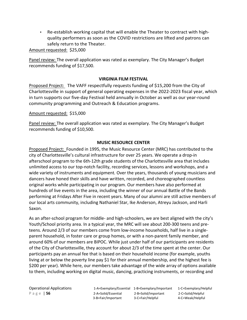• Re-establish working capital that will enable the Theater to contract with highquality performers as soon as the COVID restrictions are lifted and patrons can safely return to the Theater.

# Amount requested: \$25,000

Panel review: The overall application was rated as exemplary. The City Manager's Budget recommends funding of \$17,500.

#### **VIRGINIA FILM FESTIVAL**

Proposed Project: The VAFF respectfully requests funding of \$15,200 from the City of Charlottesville in support of general operating expenses in the 2022‐2023 fiscal year, which in turn supports our five-day Festival held annually in October as well as our year-round community programming and Outreach & Education programs.

#### Amount requested: \$15,000

Panel review: The overall application was rated as exemplary. The City Manager's Budget recommends funding of \$10,500.

#### **MUSIC RESOURCE CENTER**

Proposed Project: Founded in 1995, the Music Resource Center (MRC) has contributed to the city of Charlottesville's cultural infrastructure for over 25 years. We operate a drop‐in afterschool program to the 6th‐12th grade students of the Charlottesville area that includes unlimited access to our top‐notch facility, recording services, lessons and workshops, and a wide variety of instruments and equipment*.* Over the years, thousands of young musicians and dancers have honed their skills and have written, recorded, and choreographed countless original works while participating in our program. Our members have also performed at hundreds of live events in the area, including the winner of our annual Battle of the Bands performing at Fridays After Five in recent years. Many of our alumni are still active members of our local arts community, including Nathaniel Star, Ike Anderson, Atreyu Jackson, and Harli Saxon.

As an after‐school program for middle‐ and high‐schoolers, we are best aligned with the city's Youth/School priority area. In a typical year, the MRC will see about 200‐300 teens and pre‐ teens. Around 2/3 of our members come from low-income households, half live in a singleparent household, in foster care or group homes, or with a non‐parent family member, and around 60% of our members are BIPOC. While just under half of our participants are residents of the City of Charlottesville, they account for about 2/3 of the time spent at the center. Our participants pay an annual fee that is based on their household income (for example, youths living at or below the poverty line pay \$1 for their annual membership, and the highest fee is \$200 per year). While here, our members take advantage of the wide array of options available to them, including working on digital music, dancing, practicing instruments, or recording and

Operational Applications 1‐A=Exemplary/Essential 1‐B=Exemplary/Important 1‐C=Exemplary/Helpful Page | **56** 2‐A=Solid/Essential 2‐B=Solid/Important 2‐C=Solid/Helpful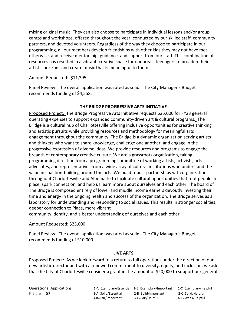mixing original music. They can also choose to participate in individual lessons and/or group camps and workshops, offered throughout the year, conducted by our skilled staff, community partners, and devoted volunteers. Regardless of the way they choose to participate in our programming, all our members develop friendships with other kids they may not have met otherwise, and receive mentorship, guidance, and support from our staff. This combination of resources has resulted in a vibrant, creative space for our area's teenagers to broaden their artistic horizons and create music that is meaningful to them.

#### Amount Requested: \$11,395

Panel Review: The overall application was rated as solid. The City Manager's Budget recommends funding of \$4,558.

# **THE BRIDGE PROGRESSIVE ARTS INITIATIVE**

Proposed Project: The Bridge Progressive Arts Initiative requests \$25,000 for FY23 general operating expenses to support expanded community‐driven art & cultural programs. The Bridge is a cultural hub of Charlottesville offering inclusive opportunities for creative thinking and artistic pursuits while providing resources and methodology for meaningful arts engagement throughout the community. The Bridge is a dynamic organization serving artists and thinkers who want to share knowledge, challenge one another, and engage in the progressive expression of diverse ideas. We provide resources and programs to engage the breadth of contemporary creative culture. We are a grassroots organization, taking programming direction from a programming committee of working artists, activists, arts advocates, and representatives from a wide array of cultural institutions who understand the value in coalition‐building around the arts. We build robust partnerships with organizations throughout Charlottesville and Albemarle to facilitate cultural opportunities that root people in place, spark connection, and help us learn more about ourselves and each other. The board of The Bridge is composed entirely of lower and middle income earners devoutly investing their time and energy in the ongoing health and success of the organization. The Bridge serves as a laboratory for understanding and responding to social issues. This results in stronger social ties, deeper connection to Place, more vibrant community identity, and a better understanding of ourselves and each other.

# Amount Requested: \$25,000

Panel Review: The overall application was rated as solid. The City Manager's Budget recommends funding of \$10,000.

#### **LIVE ARTS**

Proposed Project: As we look forward to a return to full operations under the direction of our new artistic director and with a renewed commitment to diversity, equity, and inclusion, we ask that the City of Charlottesville consider a grant in the amount of \$20,000 to support our general

Operational Applications 1‐A=Exemplary/Essential 1‐B=Exemplary/Important 1‐C=Exemplary/Helpful Page | **57** 2‐A=Solid/Essential 2‐B=Solid/Important 2‐C=Solid/Helpful